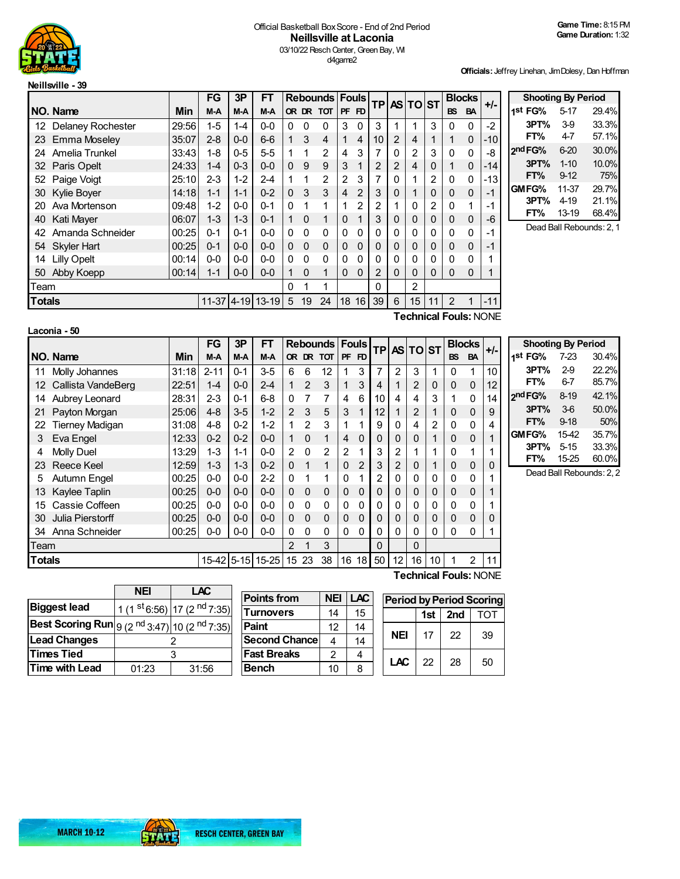

## Official Basketball BoxScore - End of 2nd Period **Neillsville at Laconia** 03/10/22 Resch Center, Green Bay, WI d4game2

**Officials:** Jeffrey Linehan, Jim Dolesy, Dan Hoffman

|        |                      |       | <b>FG</b> | 3P         | FT        |          |             | <b>Rebounds Fouls</b> |           |                | <b>TP</b>      |                | <b>ASITOIST</b> |                | <b>Blocks</b> |             | $+/-$ |
|--------|----------------------|-------|-----------|------------|-----------|----------|-------------|-----------------------|-----------|----------------|----------------|----------------|-----------------|----------------|---------------|-------------|-------|
|        | NO. Name             | Min   | M-A       | M-A        | M-A       |          |             | OR DR TOT             | <b>PF</b> | FD             |                |                |                 |                | <b>BS</b>     | <b>BA</b>   |       |
|        | 12 Delaney Rochester | 29:56 | $1 - 5$   | 1-4        | $0 - 0$   | 0        | $\mathbf 0$ | 0                     | 3         | $\Omega$       | 3              | 1              | 1               | 3              | 0             | 0           | $-2$  |
|        | 23 Emma Moseley      | 35:07 | $2 - 8$   | $0 - 0$    | $6-6$     | 1        | 3           | 4                     | 1         | 4              | 10             | $\overline{2}$ | 4               | 1              |               | $\mathbf 0$ | $-10$ |
| 24     | Amelia Trunkel       | 33:43 | $1 - 8$   | $0 - 5$    | $5 - 5$   | 1        | 1           | 2                     | 4         | 3              | 7              | 0              | 2               | 3              | $\Omega$      | $\Omega$    | -8    |
| 32     | <b>Paris Opelt</b>   | 24:33 | $1 - 4$   | $0 - 3$    | $0 - 0$   | $\Omega$ | 9           | 9                     | 3         | 1              | $\overline{2}$ | 2              | 4               | $\Omega$       |               | $\mathbf 0$ | $-14$ |
| 52     | Paige Voigt          | 25:10 | $2 - 3$   | $1 - 2$    | $2 - 4$   |          | 1           | 2                     | 2         | 3              | 7              | 0              | 1               | 2              | 0             | 0           | $-13$ |
| 30     | Kylie Boyer          | 14:18 | $1 - 1$   | $1 - 1$    | $0 - 2$   | $\Omega$ | 3           | 3                     | 4         | $\overline{2}$ | 3              | 0              | 1               | 0              | 0             | $\mathbf 0$ | -1    |
| 20     | Ava Mortenson        | 09:48 | $1 - 2$   | $0 - 0$    | $0 - 1$   | $\Omega$ | 1           | 1                     |           | 2              | 2              | 1              | 0               | $\overline{2}$ | 0             | 1           | -1    |
| 40     | Kati Mayer           | 06:07 | $1 - 3$   | $1 - 3$    | $0 - 1$   |          | $\Omega$    | 1                     | 0         | 1              | 3              | 0              | 0               | 0              | 0             | $\mathbf 0$ | -6    |
| 42     | Amanda Schneider     | 00:25 | $0 - 1$   | $0 - 1$    | $0 - 0$   | $\Omega$ | $\Omega$    | $\mathbf{0}$          | 0         | 0              | 0              | 0              | 0               | 0              | 0             | 0           | -1    |
|        | 54 Skyler Hart       | 00:25 | 0-1       | $0 - 0$    | $0 - 0$   | 0        | $\Omega$    | $\Omega$              | $\Omega$  | $\Omega$       | 0              | 0              | 0               | 0              | 0             | $\mathbf 0$ | -1    |
| 14     | <b>Lilly Opelt</b>   | 00:14 | $0 - 0$   | $0 - 0$    | $0 - 0$   | $\Omega$ | $\Omega$    | $\mathbf{0}$          | 0         | 0              | $\mathbf{0}$   | 0              | 0               | 0              | 0             | $\Omega$    |       |
| 50     | Abby Koepp           | 00:14 | $1 - 1$   | $0 - 0$    | $0 - 0$   |          | $\Omega$    | 1                     | 0         | $\Omega$       | $\mathcal{P}$  | 0              | Ω               | 0              | 0             | $\Omega$    |       |
| Team   |                      |       |           |            | O         |          | 1           |                       |           | 0              |                | 2              |                 |                |               |             |       |
| Totals |                      |       |           | 11-37 4-19 | $13 - 19$ | 5        | 19          | 24                    | 18        | 16             | 39             | 6              | 15              | 11             | $\mathcal{P}$ |             | $-11$ |

**Shooting By Period 1 st FG%** 5-17 29.4% **3PT%** 3-9 33.3% **FT%** 4-7 57.1% **2 ndFG%** 6-20 30.0% **3PT%** 1-10 10.0% **FT%** 9-12 75% **GMFG%** 11-37 29.7% **3PT%** 4-19 21.1% **FT%** 13-19 Dead Ball Rebounds: 2, 1

**Laconia - 50**

**Technical Fouls:**NONE

|               |                        |       | FG         | 3P      | FT        |                | <b>Rebounds Fouls</b> |             |             |                |    |                 | <b>TPAS TO ST</b> |             |             | <b>Blocks</b> | $+/-$ | Sho                    |
|---------------|------------------------|-------|------------|---------|-----------|----------------|-----------------------|-------------|-------------|----------------|----|-----------------|-------------------|-------------|-------------|---------------|-------|------------------------|
|               | NO. Name               | Min   | M-A        | M-A     | M-A       |                |                       | OR DR TOT   | <b>PF</b>   | FD.            |    |                 |                   |             | <b>BS</b>   | <b>BA</b>     |       | 1st FG                 |
| 11            | Molly Johannes         | 31:18 | $2 - 11$   | $0 - 1$ | $3-5$     | 6              | 6                     | 12          |             | 3              | 7  | 2               | 3                 | 1           | $\Omega$    | 1             | 10    | 3P1                    |
| 12            | Callista VandeBerg     | 22:51 | $1 - 4$    | $0 - 0$ | $2 - 4$   |                | 2                     | 3           |             | 3              | 4  |                 | 2                 | $\mathbf 0$ | 0           | 0             | 12    | <b>FT</b> <sup>o</sup> |
| 14            | Aubrey Leonard         | 28:31 | $2 - 3$    | $0 - 1$ | $6 - 8$   | $\Omega$       |                       |             | 4           | 6              | 10 | 4               | 4                 | 3           |             | 0             | 14    | 2nd FG                 |
| 21            | Payton Morgan          | 25:06 | $4 - 8$    | $3-5$   | $1 - 2$   | $\overline{2}$ | 3                     | 5           | 3           |                | 12 |                 | 2                 |             | 0           | 0             | 9     | 3P1                    |
| 22            | <b>Tierney Madigan</b> | 31:08 | $4 - 8$    | $0 - 2$ | $1 - 2$   |                | $\mathfrak{p}$        | 3           | 1           |                | 9  | $\Omega$        | 4                 | 2           | $\Omega$    | 0             | 4     | <b>FT</b> <sup></sup>  |
| 3             | Eva Engel              | 12:33 | $0 - 2$    | $0 - 2$ | $0 - 0$   |                | $\mathbf{0}$          | 1           | 4           | $\Omega$       | 0  | 0               | 0                 |             | $\mathbf 0$ | 0             |       | <b>GMFG</b>            |
| 4             | Molly Duel             | 13:29 | $1 - 3$    | $1 - 1$ | $0 - 0$   | 2              | $\Omega$              | 2           | 2           |                | 3  | 2               |                   | 1           | $\Omega$    |               |       | 3P1                    |
| 23            | <b>Reece Keel</b>      | 12:59 | $1 - 3$    | $1 - 3$ | $0 - 2$   | $\Omega$       |                       | 1           | $\Omega$    | $\overline{2}$ | 3  | $\overline{2}$  | 0                 |             | $\Omega$    | 0             | 0     | <b>FT</b>              |
| 5             | Autumn Engel           | 00:25 | $0-0$      | $0 - 0$ | $2 - 2$   | $\Omega$       |                       | 1           | 0           |                | 2  | 0               | 0                 | 0           | $\Omega$    | 0             |       | Dea                    |
| 13            | Kaylee Taplin          | 00:25 | $0-0$      | $0 - 0$ | $0 - 0$   | $\Omega$       | $\Omega$              | $\Omega$    | $\mathbf 0$ | $\Omega$       | 0  | 0               | 0                 | $\mathbf 0$ | $\mathbf 0$ | 0             |       |                        |
| 15            | Cassie Coffeen         | 00:25 | $0-0$      | $0 - 0$ | $0-0$     | 0              | $\mathbf{0}$          | 0           | 0           | $\Omega$       | 0  | 0               | 0                 | 0           | 0           | 0             |       |                        |
| 30            | Julia Pierstorff       | 00:25 | $0-0$      | $0-0$   | $0-0$     | $\Omega$       | $\mathbf{0}$          | $\mathbf 0$ | $\Omega$    | $\Omega$       | 0  | 0               | 0                 | 0           | $\mathbf 0$ | 0             | 0     |                        |
| 34            | Anna Schneider         | 00:25 | $0-0$      | $0 - 0$ | $0 - 0$   | 0              | $\Omega$              | $\Omega$    | $\Omega$    | $\Omega$       | 0  | $\Omega$        | 0                 | $\Omega$    | $\Omega$    | 0             |       |                        |
| Team          |                        |       |            |         |           | 2              |                       | 3           |             |                | 0  |                 | 0                 |             |             |               |       |                        |
| <b>Totals</b> |                        |       | 15-42 5-15 |         | $15 - 25$ | 15             | 23                    | 38          | 16          | 18             | 50 | 12 <sub>1</sub> | 16                | 10          |             | 2             | 11    |                        |

| ı. | <b>Shooting By Period</b> |          |                         |
|----|---------------------------|----------|-------------------------|
|    | 1 <sup>st</sup> FG%       | 7-23     | 30.4%                   |
| D  | 3PT%                      | $2-9$    | 22.2%                   |
| 2  | FT%                       | 6-7      | 85.7%                   |
| 4  | 2nd FG%                   | 8-19     | 42.1%                   |
|    | 3PT%                      | $3-6$    | 50.0%                   |
|    | FT%                       | $9 - 18$ | 50%                     |
|    | GMFG%                     | 15-42    | 35.7%                   |
|    | 3PT%                      | $5 - 15$ | 33.3%                   |
|    | FT%                       | 15-25    | 60.0%                   |
|    |                           |          | Dead Ball Rebounds: 2-2 |

ad Ball Rebounds: 2, 2

|                                                                                        | <b>NEI</b> | LAC                                                              |
|----------------------------------------------------------------------------------------|------------|------------------------------------------------------------------|
| <b>Biggest lead</b>                                                                    |            | 1 (1 $\frac{\text{st}}{\text{6:56}}$ ) 17 (2 <sup>nd</sup> 7:35) |
| <b>Best Scoring Run</b> $\left 9(2 \text{ nd } 3:47)\right $ 10 (2 <sup>nd</sup> 7:35) |            |                                                                  |
| <b>Lead Changes</b>                                                                    |            |                                                                  |
| <b>Times Tied</b>                                                                      |            |                                                                  |
| Time with Lead                                                                         | 01:23      | 31:56                                                            |

| <b>Points from</b>   | <b>NEI</b>    | <b>LAC</b> |   |
|----------------------|---------------|------------|---|
| <b>Turnovers</b>     | 14            | 15         |   |
| Paint                | 12            | 14         |   |
| <b>Second Chance</b> |               | 14         | ľ |
| <b>Fast Breaks</b>   | $\mathcal{P}$ | 4          |   |
| <b>Bench</b>         | 10            | 8          | L |

| <b>Period by Period Scoring</b> |       |     |     |  |  |  |  |  |  |  |  |  |  |
|---------------------------------|-------|-----|-----|--|--|--|--|--|--|--|--|--|--|
|                                 | 1st l | 2nd | TOT |  |  |  |  |  |  |  |  |  |  |
| NEI                             | 17    | 22  | 39  |  |  |  |  |  |  |  |  |  |  |
| LAC                             | 22    | 28  | 50  |  |  |  |  |  |  |  |  |  |  |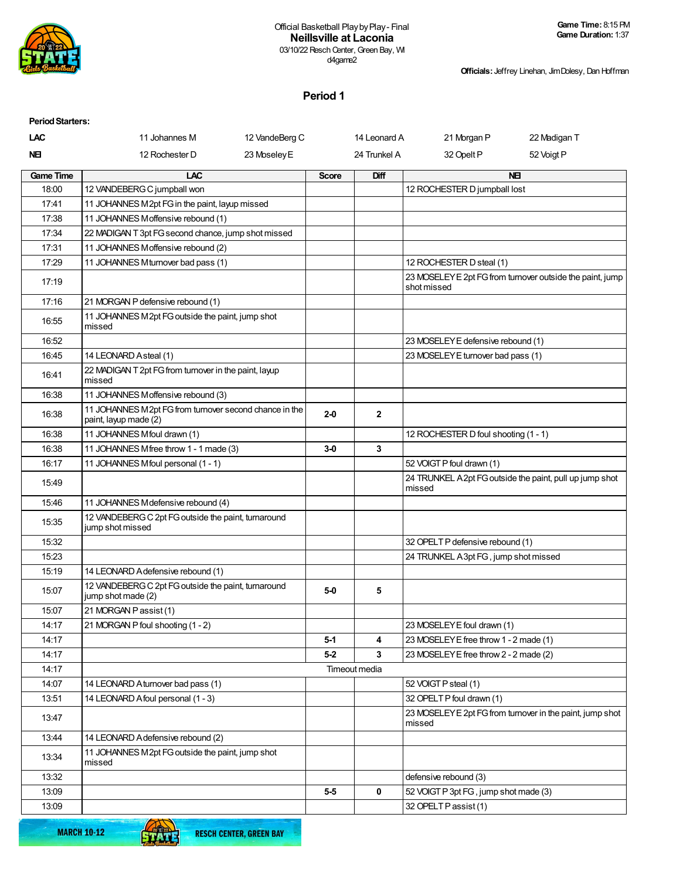

**Officials:** Jeffrey Linehan, Jim Dolesy, Dan Hoffman

# **Period 1**

| <b>Period Starters:</b> |                                                                                 |                |              |               |                                        |                                                           |
|-------------------------|---------------------------------------------------------------------------------|----------------|--------------|---------------|----------------------------------------|-----------------------------------------------------------|
| <b>LAC</b>              | 11 Johannes M                                                                   | 12 VandeBerg C |              | 14 Leonard A  | 21 Morgan P                            | 22 Madigan T                                              |
| NEI                     | 12 Rochester D                                                                  | 23 Moseley E   |              | 24 Trunkel A  | 32 Opelt P                             | 52 Voigt P                                                |
| <b>Game Time</b>        | LAC                                                                             |                | <b>Score</b> | Diff          |                                        | <b>NEI</b>                                                |
| 18:00                   | 12 VANDEBERG C jumpball won                                                     |                |              |               | 12 ROCHESTER D jumpball lost           |                                                           |
| 17:41                   | 11 JOHANNES M2pt FG in the paint, layup missed                                  |                |              |               |                                        |                                                           |
| 17:38                   | 11 JOHANNES Moffensive rebound (1)                                              |                |              |               |                                        |                                                           |
| 17:34                   | 22 MADIGAN T 3pt FG second chance, jump shot missed                             |                |              |               |                                        |                                                           |
| 17:31                   | 11 JOHANNES Moffensive rebound (2)                                              |                |              |               |                                        |                                                           |
| 17:29                   | 11 JOHANNES Mturnover bad pass (1)                                              |                |              |               | 12 ROCHESTER D steal (1)               |                                                           |
| 17:19                   |                                                                                 |                |              |               | shot missed                            | 23 MOSELEY E 2pt FG from turnover outside the paint, jump |
| 17:16                   | 21 MORGAN P defensive rebound (1)                                               |                |              |               |                                        |                                                           |
| 16:55                   | 11 JOHANNES M2pt FG outside the paint, jump shot<br>missed                      |                |              |               |                                        |                                                           |
| 16:52                   |                                                                                 |                |              |               | 23 MOSELEY E defensive rebound (1)     |                                                           |
| 16:45                   | 14 LEONARD Asteal (1)                                                           |                |              |               | 23 MOSELEY E turnover bad pass (1)     |                                                           |
| 16:41                   | 22 MADIGAN T 2pt FG from turnover in the paint, layup<br>missed                 |                |              |               |                                        |                                                           |
| 16:38                   | 11 JOHANNES Moffensive rebound (3)                                              |                |              |               |                                        |                                                           |
| 16:38                   | 11 JOHANNES M2pt FG from turnover second chance in the<br>paint, layup made (2) |                | $2-0$        | $\mathbf{2}$  |                                        |                                                           |
| 16:38                   | 11 JOHANNES Mfoul drawn (1)                                                     |                |              |               | 12 ROCHESTER D foul shooting (1 - 1)   |                                                           |
| 16:38                   | 11 JOHANNES Mfree throw 1 - 1 made (3)                                          |                | $3-0$        | 3             |                                        |                                                           |
| 16:17                   | 11 JOHANNES Mfoul personal (1 - 1)                                              |                |              |               | 52 VOIGT P foul drawn (1)              |                                                           |
| 15:49                   |                                                                                 |                |              |               | missed                                 | 24 TRUNKEL A 2pt FG outside the paint, pull up jump shot  |
| 15:46                   | 11 JOHANNES M defensive rebound (4)                                             |                |              |               |                                        |                                                           |
| 15:35                   | 12 VANDEBERG C 2pt FG outside the paint, turnaround<br>jump shot missed         |                |              |               |                                        |                                                           |
| 15:32                   |                                                                                 |                |              |               | 32 OPELT P defensive rebound (1)       |                                                           |
| 15:23                   |                                                                                 |                |              |               | 24 TRUNKEL A3pt FG, jump shot missed   |                                                           |
| 15:19                   | 14 LEONARD A defensive rebound (1)                                              |                |              |               |                                        |                                                           |
| 15:07                   | 12 VANDEBERG C 2pt FG outside the paint, turnaround<br>jump shot made (2)       |                | $5-0$        | 5             |                                        |                                                           |
| 15:07                   | 21 MORGAN Passist (1)                                                           |                |              |               |                                        |                                                           |
| 14:17                   | 21 MORGAN P foul shooting (1 - 2)                                               |                |              |               | 23 MOSELEY E foul drawn (1)            |                                                           |
| 14:17                   |                                                                                 |                | $5-1$        | 4             | 23 MOSELEY E free throw 1 - 2 made (1) |                                                           |
| 14:17                   |                                                                                 |                | $5-2$        | 3             | 23 MOSELEY E free throw 2 - 2 made (2) |                                                           |
| 14:17                   |                                                                                 |                |              | Timeout media |                                        |                                                           |
| 14:07                   | 14 LEONARD A turnover bad pass (1)                                              |                |              |               | 52 VOIGT P steal (1)                   |                                                           |
| 13:51                   | 14 LEONARD A foul personal (1 - 3)                                              |                |              |               | 32 OPELT P foul drawn (1)              |                                                           |
| 13:47                   |                                                                                 |                |              |               | missed                                 | 23 MOSELEY E 2pt FG from turnover in the paint, jump shot |
| 13:44                   | 14 LEONARD A defensive rebound (2)                                              |                |              |               |                                        |                                                           |
| 13:34                   | 11 JOHANNES M2pt FG outside the paint, jump shot<br>missed                      |                |              |               |                                        |                                                           |
| 13:32                   |                                                                                 |                |              |               | defensive rebound (3)                  |                                                           |
| 13:09                   |                                                                                 |                | $5-5$        | 0             | 52 VOIGT P 3pt FG, jump shot made (3)  |                                                           |
| 13:09                   |                                                                                 |                |              |               | 32 OPELT P assist (1)                  |                                                           |

**MARCH 10-12** 

**STATE**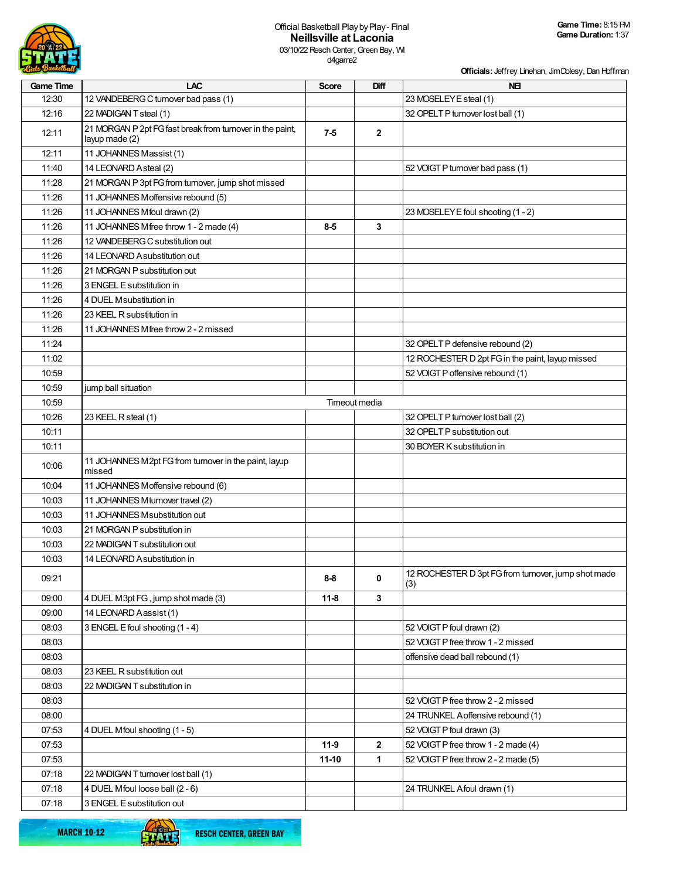

d4game2

**Officials:** Jeffrey Linehan, Jim Dolesy, Dan Hoffman

| <b>Game Time</b> | LAC                                                                         | <b>Score</b> | Diff           | <b>NEI</b>                                                 |
|------------------|-----------------------------------------------------------------------------|--------------|----------------|------------------------------------------------------------|
| 12:30            | 12 VANDEBERG C turnover bad pass (1)                                        |              |                | 23 MOSELEY E steal (1)                                     |
| 12:16            | 22 MADIGAN T steal (1)                                                      |              |                | 32 OPELT P turnover lost ball (1)                          |
| 12:11            | 21 MORGAN P 2pt FG fast break from turnover in the paint,<br>layup made (2) | $7-5$        | $\overline{2}$ |                                                            |
| 12:11            | 11 JOHANNES Massist (1)                                                     |              |                |                                                            |
| 11:40            | 14 LEONARD Asteal (2)                                                       |              |                | 52 VOIGT P turnover bad pass (1)                           |
| 11:28            | 21 MORGAN P 3pt FG from turnover, jump shot missed                          |              |                |                                                            |
| 11:26            | 11 JOHANNES Moffensive rebound (5)                                          |              |                |                                                            |
| 11:26            | 11 JOHANNES Mfoul drawn (2)                                                 |              |                | 23 MOSELEY E foul shooting (1 - 2)                         |
| 11:26            | 11 JOHANNES Mfree throw 1 - 2 made (4)                                      | $8-5$        | 3              |                                                            |
| 11:26            | 12 VANDEBERG C substitution out                                             |              |                |                                                            |
| 11:26            | 14 LEONARD A substitution out                                               |              |                |                                                            |
| 11:26            | 21 MORGAN P substitution out                                                |              |                |                                                            |
| 11:26            | 3 ENGEL E substitution in                                                   |              |                |                                                            |
| 11:26            | 4 DUEL Msubstitution in                                                     |              |                |                                                            |
| 11:26            | 23 KEEL R substitution in                                                   |              |                |                                                            |
| 11:26            | 11 JOHANNES M free throw 2 - 2 missed                                       |              |                |                                                            |
| 11:24            |                                                                             |              |                | 32 OPELT P defensive rebound (2)                           |
| 11:02            |                                                                             |              |                | 12 ROCHESTER D 2pt FG in the paint, layup missed           |
| 10:59            |                                                                             |              |                | 52 VOIGT P offensive rebound (1)                           |
| 10:59            | jump ball situation                                                         |              |                |                                                            |
| 10:59            |                                                                             |              | Timeout media  |                                                            |
| 10:26            | 23 KEEL R steal (1)                                                         |              |                | 32 OPELT P turnover lost ball (2)                          |
| 10:11            |                                                                             |              |                | 32 OPELT P substitution out                                |
| 10:11            |                                                                             |              |                | 30 BOYER K substitution in                                 |
| 10:06            | 11 JOHANNES M2pt FG from turnover in the paint, layup<br>missed             |              |                |                                                            |
| 10:04            | 11 JOHANNES Moffensive rebound (6)                                          |              |                |                                                            |
| 10:03            | 11 JOHANNES M turnover travel (2)                                           |              |                |                                                            |
| 10:03            | 11 JOHANNES M substitution out                                              |              |                |                                                            |
| 10:03            | 21 MORGAN P substitution in                                                 |              |                |                                                            |
| 10:03            | 22 MADIGAN T substitution out                                               |              |                |                                                            |
| 10:03            | 14 LEONARD A substitution in                                                |              |                |                                                            |
| 09:21            |                                                                             | $8-8$        | $\mathbf 0$    | 12 ROCHESTER D 3pt FG from turnover, jump shot made<br>(3) |
| 09:00            | 4 DUEL M3pt FG, jump shot made (3)                                          | $11-8$       | 3              |                                                            |
| 09:00            | 14 LEONARD Aassist (1)                                                      |              |                |                                                            |
| 08:03            | 3 ENGEL E foul shooting (1 - 4)                                             |              |                | 52 VOIGT P foul drawn (2)                                  |
| 08:03            |                                                                             |              |                | 52 VOIGT P free throw 1 - 2 missed                         |
| 08:03            |                                                                             |              |                | offensive dead ball rebound (1)                            |
| 08:03            | 23 KEEL R substitution out                                                  |              |                |                                                            |
| 08:03            | 22 MADIGAN T substitution in                                                |              |                |                                                            |
| 08:03            |                                                                             |              |                | 52 VOIGT P free throw 2 - 2 missed                         |
| 08:00            |                                                                             |              |                | 24 TRUNKEL A offensive rebound (1)                         |
| 07:53            | 4 DUEL Mfoul shooting (1 - 5)                                               |              |                | 52 VOIGT P foul drawn (3)                                  |
| 07:53            |                                                                             | $11-9$       | $\mathbf{2}$   | 52 VOIGT P free throw 1 - 2 made (4)                       |
| 07:53            |                                                                             | $11-10$      | $\mathbf{1}$   | 52 VOIGT P free throw 2 - 2 made (5)                       |
| 07:18            | 22 MADIGAN T turnover lost ball (1)                                         |              |                |                                                            |
| 07:18            | 4 DUEL Mfoul loose ball (2 - 6)                                             |              |                | 24 TRUNKEL A foul drawn (1)                                |
| 07:18            | 3 ENGEL E substitution out                                                  |              |                |                                                            |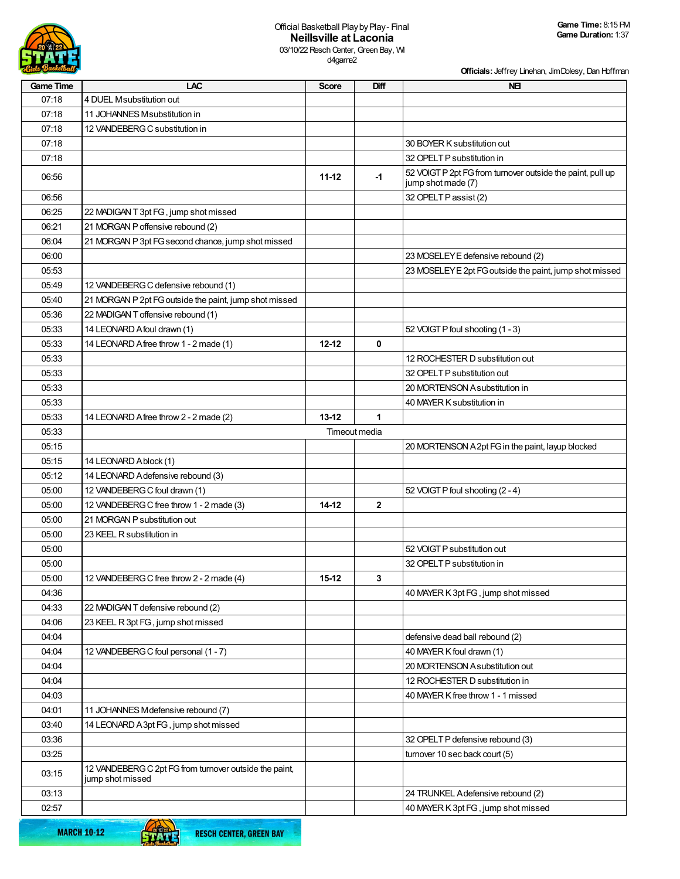

**Officials:** Jeffrey Linehan, Jim Dolesy, Dan Hoffman

| <b>Game Time</b> | <b>LAC</b>                                             | <b>Score</b>  | Diff         | <b>NEI</b>                                                                       |
|------------------|--------------------------------------------------------|---------------|--------------|----------------------------------------------------------------------------------|
| 07:18            | 4 DUEL Msubstitution out                               |               |              |                                                                                  |
| 07:18            | 11 JOHANNES Msubstitution in                           |               |              |                                                                                  |
| 07:18            | 12 VANDEBERG C substitution in                         |               |              |                                                                                  |
| 07:18            |                                                        |               |              | 30 BOYER K substitution out                                                      |
| 07:18            |                                                        |               |              | 32 OPELT P substitution in                                                       |
| 06.56            |                                                        | $11 - 12$     | $-1$         | 52 VOIGT P 2pt FG from turnover outside the paint, pull up<br>jump shot made (7) |
| 06:56            |                                                        |               |              | 32 OPELT P assist (2)                                                            |
| 06:25            | 22 MADIGAN T 3pt FG, jump shot missed                  |               |              |                                                                                  |
| 06:21            | 21 MORGAN P offensive rebound (2)                      |               |              |                                                                                  |
| 06:04            | 21 MORGAN P 3pt FG second chance, jump shot missed     |               |              |                                                                                  |
| 06:00            |                                                        |               |              | 23 MOSELEY E defensive rebound (2)                                               |
| 05:53            |                                                        |               |              | 23 MOSELEY E 2pt FG outside the paint, jump shot missed                          |
| 05:49            | 12 VANDEBERG C defensive rebound (1)                   |               |              |                                                                                  |
| 05:40            | 21 MORGAN P 2pt FG outside the paint, jump shot missed |               |              |                                                                                  |
| 05:36            | 22 MADIGAN T offensive rebound (1)                     |               |              |                                                                                  |
| 05:33            | 14 LEONARD A foul drawn (1)                            |               |              | 52 VOIGT P foul shooting (1 - 3)                                                 |
| 05:33            | 14 LEONARD Afree throw 1 - 2 made (1)                  | $12 - 12$     | 0            |                                                                                  |
| 05:33            |                                                        |               |              | 12 ROCHESTER D substitution out                                                  |
| 05:33            |                                                        |               |              | 32 OPELT P substitution out                                                      |
| 05:33            |                                                        |               |              | 20 MORTENSON Asubstitution in                                                    |
| 05:33            |                                                        |               |              | 40 MAYER K substitution in                                                       |
| 05:33            | 14 LEONARD A free throw 2 - 2 made (2)                 | $13 - 12$     | 1            |                                                                                  |
| 05:33            |                                                        | Timeout media |              |                                                                                  |
| 05:15            |                                                        |               |              | 20 MORTENSON A 2pt FG in the paint, layup blocked                                |
| 05:15            | 14 LEONARD Ablock (1)                                  |               |              |                                                                                  |
| 05:12            | 14 LEONARD A defensive rebound (3)                     |               |              |                                                                                  |
| 05:00            | 12 VANDEBERG C foul drawn (1)                          |               |              | 52 VOIGT P foul shooting (2 - 4)                                                 |
| 05:00            | 12 VANDEBERG C free throw 1 - 2 made (3)               | $14-12$       | $\mathbf{2}$ |                                                                                  |
| 05:00            | 21 MORGAN P substitution out                           |               |              |                                                                                  |
| 05:00            | 23 KEEL R substitution in                              |               |              |                                                                                  |
| 05:00            |                                                        |               |              | 52 VOIGT P substitution out                                                      |
| 05:00            |                                                        |               |              | 32 OPELT P substitution in                                                       |
| 05:00            | 12 VANDEBERG C free throw 2 - 2 made (4)               | $15-12$       | 3            |                                                                                  |
| 04:36            |                                                        |               |              | 40 MAYER K 3pt FG, jump shot missed                                              |
| 04:33            | 22 MADIGAN T defensive rebound (2)                     |               |              |                                                                                  |
| 04:06            | 23 KEEL R 3pt FG, jump shot missed                     |               |              |                                                                                  |
| 04:04            |                                                        |               |              | defensive dead ball rebound (2)                                                  |
| 04:04            | 12 VANDEBERG C foul personal (1 - 7)                   |               |              | 40 MAYER K foul drawn (1)                                                        |
| 04:04            |                                                        |               |              | 20 MORTENSON Asubstitution out                                                   |
| 04:04            |                                                        |               |              | 12 ROCHESTER D substitution in                                                   |
| 04:03            |                                                        |               |              | 40 MAYER K free throw 1 - 1 missed                                               |
| 04:01            | 11 JOHANNES M defensive rebound (7)                    |               |              |                                                                                  |
| 03:40            | 14 LEONARD A 3pt FG, jump shot missed                  |               |              |                                                                                  |
| 03:36            |                                                        |               |              | 32 OPELT P defensive rebound (3)                                                 |
| 03:25            |                                                        |               |              | turnover 10 sec back court (5)                                                   |
|                  | 12 VANDEBERG C 2pt FG from turnover outside the paint, |               |              |                                                                                  |
| 03:15            | jump shot missed                                       |               |              |                                                                                  |
| 03:13            |                                                        |               |              | 24 TRUNKEL Adefensive rebound (2)                                                |
| 02:57            |                                                        |               |              | 40 MAYER K 3pt FG, jump shot missed                                              |
|                  | $\sqrt{2}$                                             |               |              |                                                                                  |

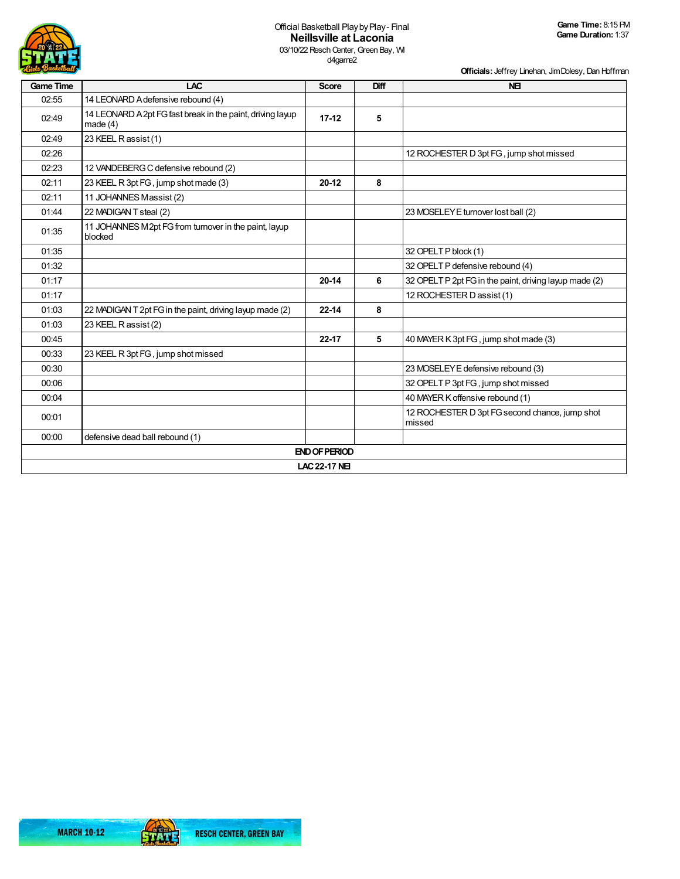

d4game2

| <b><i><u>EGirls Basketball</u></i></b> |                                                                          |                      |      | Officials: Jeffrey Linehan, Jim Dolesy, Dan Hoffman      |
|----------------------------------------|--------------------------------------------------------------------------|----------------------|------|----------------------------------------------------------|
| <b>Game Time</b>                       | <b>LAC</b>                                                               | <b>Score</b>         | Diff | <b>NEI</b>                                               |
| 02:55                                  | 14 LEONARD A defensive rebound (4)                                       |                      |      |                                                          |
| 02:49                                  | 14 LEONARD A 2pt FG fast break in the paint, driving layup<br>made $(4)$ | $17 - 12$            | 5    |                                                          |
| 02:49                                  | 23 KEEL R assist (1)                                                     |                      |      |                                                          |
| 02:26                                  |                                                                          |                      |      | 12 ROCHESTER D 3pt FG, jump shot missed                  |
| 02:23                                  | 12 VANDEBERG C defensive rebound (2)                                     |                      |      |                                                          |
| 02:11                                  | 23 KEEL R 3pt FG, jump shot made (3)                                     | $20 - 12$            | 8    |                                                          |
| 02:11                                  | 11 JOHANNES Massist (2)                                                  |                      |      |                                                          |
| 01:44                                  | 22 MADIGAN T steal (2)                                                   |                      |      | 23 MOSELEY E turnover lost ball (2)                      |
| 01:35                                  | 11 JOHANNES M2pt FG from turnover in the paint, layup<br>blocked         |                      |      |                                                          |
| 01:35                                  |                                                                          |                      |      | 32 OPELT P block (1)                                     |
| 01:32                                  |                                                                          |                      |      | 32 OPELT P defensive rebound (4)                         |
| 01:17                                  |                                                                          | $20 - 14$            | 6    | 32 OPELT P 2pt FG in the paint, driving layup made (2)   |
| 01:17                                  |                                                                          |                      |      | 12 ROCHESTER D assist (1)                                |
| 01:03                                  | 22 MADIGAN T 2pt FG in the paint, driving layup made (2)                 | $22 - 14$            | 8    |                                                          |
| 01:03                                  | 23 KEEL R assist (2)                                                     |                      |      |                                                          |
| 00:45                                  |                                                                          | 22-17                | 5    | 40 MAYER K 3pt FG, jump shot made (3)                    |
| 00:33                                  | 23 KEEL R 3pt FG, jump shot missed                                       |                      |      |                                                          |
| 00:30                                  |                                                                          |                      |      | 23 MOSELEY E defensive rebound (3)                       |
| 00:06                                  |                                                                          |                      |      | 32 OPELT P 3pt FG, jump shot missed                      |
| 00:04                                  |                                                                          |                      |      | 40 MAYER K offensive rebound (1)                         |
| 00:01                                  |                                                                          |                      |      | 12 ROCHESTER D 3pt FG second chance, jump shot<br>missed |
| 00:00                                  | defensive dead ball rebound (1)                                          |                      |      |                                                          |
|                                        |                                                                          | <b>END OF PERIOD</b> |      |                                                          |
|                                        |                                                                          | <b>LAC 22-17 NE</b>  |      |                                                          |

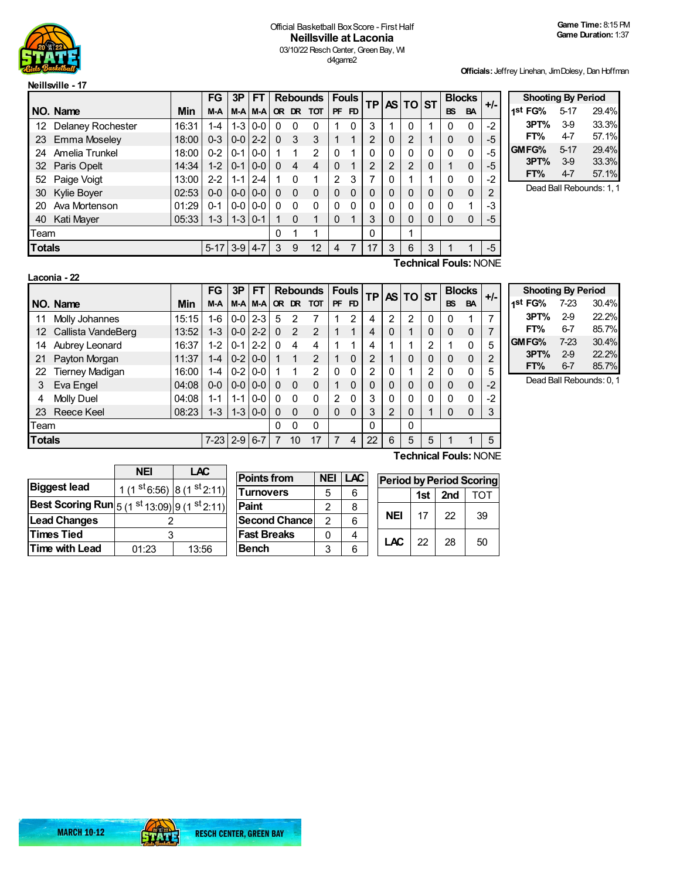

## Official Basketball Box Score - First Half **Neillsville at Laconia** 03/10/22 Resch Center, Green Bay, WI d4game2

**Officials:** Jeffrey Linehan, Jim Dolesy, Dan Hoffman

|               |                          |               | <b>FG</b>    | 3P            | <b>FT</b>         |          |              | <b>Rebounds</b> |               | <b>Fouls</b> | TP.            |          | AS TO ST       |   |              | <b>Blocks</b> | $+/-$          | <b>Shooting By Period</b> |         |      |
|---------------|--------------------------|---------------|--------------|---------------|-------------------|----------|--------------|-----------------|---------------|--------------|----------------|----------|----------------|---|--------------|---------------|----------------|---------------------------|---------|------|
|               | NO. Name                 | Min           | M-A          |               | <b>M-A M-A</b>    |          |              | OR DR TOT       | <b>PF</b>     | FD.          |                |          |                |   | <b>BS</b>    | BA            |                | 1 <sup>st</sup> FG%       | $5-17$  | 29.4 |
| 12            | <b>Delaney Rochester</b> | 16:31         | 1-4          |               | $1 - 3   0 - 0  $ | 0        | 0            | 0               |               |              | 3              |          | $\Omega$       |   | 0            | $\Omega$      | $-2$           | 3PT%                      | 39      | 33.3 |
|               | 23 Emma Moseley          | 18:00         | $0 - 3$      | $0-0$   2-2   |                   | $\Omega$ | 3            | 3               |               |              | $\overline{2}$ | 0        | 2              |   | $\mathbf{0}$ | 0             | -5             | FT%                       | 4-7     | 57.1 |
| 24            | Amelia Trunkel           | 18:00         | $0 - 2$      | $0 - 1$       | $0-0$             |          |              | 2               | 0             |              | $\mathbf{0}$   | 0        | 0              | 0 | $\Omega$     | 0             | $-5$           | GMFG%                     | $5-17$  | 29.4 |
|               | 32 Paris Opelt           | 14:34         | $1 - 2$      | $10-1$        | $ 0-0 $           | 0        | 4            | 4               | $\Omega$      |              | $\overline{2}$ |          | $\overline{2}$ | 0 |              | $\mathbf 0$   | -5             | 3PT%                      | $3-9$   | 33.3 |
| 52            | Paige Voigt              | 13:00         | $2 - 2$      | $1 - 1$ 2-4   |                   |          | 0            |                 | $\mathcal{P}$ | 3            | 7              |          |                |   | $\Omega$     | 0             | -2             | FT%                       | $4 - 7$ | 57.1 |
|               | 30 Kylie Boyer           | 02:53         | $0 - 0$      | $ 0-0 0-0 $   |                   | 0        | $\mathbf{0}$ | $\Omega$        | $\Omega$      |              | $\mathbf{0}$   | $\Omega$ | $\Omega$       | 0 | $\mathbf{0}$ | $\Omega$      | $\overline{2}$ | Dead Ball Rebounds: 1     |         |      |
| 20            | Ava Mortenson            | 01:29         | $0 - 1$      | $0 - 0 0 - 0$ |                   | 0        | 0            | 0               | 0             |              | $\Omega$       |          | 0              |   | $\Omega$     |               | -3             |                           |         |      |
| 40            | Kati Mayer               | $05:33$   1-3 |              |               | $1 - 3$   0-1     |          | 0            |                 | $\Omega$      |              | 3              | $\Omega$ | $\Omega$       | 0 | $\Omega$     | 0             | -5             |                           |         |      |
| Team          |                          |               |              |               | 0                 |          |              |                 |               | $\Omega$     |                |          |                |   |              |               |                |                           |         |      |
| <b>Totals</b> |                          |               | 5-17 3-9 4-7 |               |                   | 3        | 9            | 12              | 4             |              | 17             | 3        | 6              | 3 |              |               | $-5$           |                           |         |      |

| -7 -      | 1st FG%                  | 5-17   | 29.4% |  |  |  |  |
|-----------|--------------------------|--------|-------|--|--|--|--|
| $\cdot$ 2 | 3PT%                     | 39     | 33.3% |  |  |  |  |
| ٠5        | FT%                      | 47     | 57.1% |  |  |  |  |
| $\cdot 5$ | GMFG%                    | $5-17$ | 29.4% |  |  |  |  |
| ٠5        | 3PT%                     | 39     | 33.3% |  |  |  |  |
| $\cdot$ 2 | FT%                      | 4-7    | 57.1% |  |  |  |  |
| າ         | Dead Ball Rebounds: 1, 1 |        |       |  |  |  |  |

**Laconia - 22**

**Technical Fouls:**NONE

|               |                        |       | <b>FG</b> | 3P          | FT      |          |                | <b>Rebounds</b> |               | <b>Fouls</b>   | <b>TPI</b>     |                | AS TO ST       |   |              | <b>Blocks</b>         | $+/-$ |
|---------------|------------------------|-------|-----------|-------------|---------|----------|----------------|-----------------|---------------|----------------|----------------|----------------|----------------|---|--------------|-----------------------|-------|
|               | NO. Name               | Min   | M-A       |             | M-A M-A |          | OR DR          | <b>TOT</b>      | <b>PF</b>     | F <sub>D</sub> |                |                |                |   | <b>BS</b>    | <b>BA</b>             |       |
| 11            | Molly Johannes         | 15:15 | 1-6       | $0-0$       | $2 - 3$ | 5        | 2              |                 |               | 2              | 4              | $\overline{2}$ | 2              | 0 | 0            |                       | 7     |
| 12            | Callista VandeBerg     | 13:52 | $1 - 3$   | $0-0$       | $2 - 2$ | $\Omega$ | $\overline{2}$ | 2               |               | 1              | 4              | $\Omega$       | 1              | 0 | $\mathbf{0}$ | $\mathbf 0$           |       |
| 14            | Aubrey Leonard         | 16:37 | $1 - 2$   | $0 - 1$     | $2 - 2$ | 0        | 4              | 4               |               |                | 4              |                | 1              | 2 | 1            | $\Omega$              | 5     |
| 21            | Payton Morgan          | 11:37 | $1 - 4$   | $0-2$       | $0 - 0$ |          | $\mathbf{1}$   | $\mathfrak{p}$  |               | $\mathbf{0}$   | $\overline{2}$ | ◢              | 0              | 0 | 0            | $\mathbf 0$           | 2     |
| 22            | <b>Tierney Madigan</b> | 16:00 | 1-4       | $0-2$       | $0 - 0$ |          | 1              | $\overline{2}$  | $\Omega$      | $\Omega$       | $\overline{2}$ | $\Omega$       | 1              | 2 | $\mathbf{0}$ | $\Omega$              | 5     |
| 3             | Eva Engel              | 04:08 | $0 - 0$   | $0-0$       | $0 - 0$ | 0        | $\Omega$       | 0               | $\mathbf{1}$  | $\Omega$       | $\mathbf 0$    | $\mathbf{0}$   | $\overline{0}$ | 0 | 0            | $\mathbf 0$           | $-2$  |
| 4             | Molly Duel             | 04:08 | $1 - 1$   | $1 - 1$     | $0 - 0$ | $\Omega$ | $\Omega$       | $\Omega$        | $\mathcal{P}$ | $\Omega$       | 3              | $\Omega$       | $\Omega$       | 0 | 0            | $\mathbf{0}$          | $-2$  |
| 23            | <b>Reece Keel</b>      | 08:23 | $1 - 3$   | $1 - 3$     | $0 - 0$ | 0        | $\Omega$       | $\Omega$        | $\Omega$      | $\Omega$       | 3              | 2              | 0              | 1 | $\mathbf{0}$ | $\Omega$              | 3     |
| Team          |                        |       |           |             |         | 0        | $\Omega$       | $\Omega$        |               |                | 0              |                | $\mathbf 0$    |   |              |                       |       |
| <b>Totals</b> |                        |       | $7 - 23$  | $2 - 9$ 6-7 |         |          | 10             | 17              | 7             | 4              | 22             | 6              | 5              | 5 |              |                       | 5     |
|               |                        |       |           |             |         |          |                |                 |               |                |                |                |                |   |              | Technical Fouls: NONE |       |

|                              | <b>Shooting By Period</b> |       |  |  |  |  |  |  |  |  |
|------------------------------|---------------------------|-------|--|--|--|--|--|--|--|--|
| 1st FG%<br>30.4%<br>$7 - 23$ |                           |       |  |  |  |  |  |  |  |  |
| 3PT%                         | 2.9                       | 22.2% |  |  |  |  |  |  |  |  |
| FT%                          | 67                        | 85.7% |  |  |  |  |  |  |  |  |
| GMFG%                        | $7-23$                    | 30.4% |  |  |  |  |  |  |  |  |
| 3PT%                         | 2.9                       | 22.2% |  |  |  |  |  |  |  |  |
| FT%                          | 6-7                       | 85.7% |  |  |  |  |  |  |  |  |

Dead Ball Rebounds: 0, 1

|                       | <b>NEI</b><br>LAC                                                             |       |  |  |  |  |  |
|-----------------------|-------------------------------------------------------------------------------|-------|--|--|--|--|--|
| <b>Biggest lead</b>   | 1 (1 $\frac{\text{st}}{\text{6:56}}$ ) 8 (1 $\frac{\text{st}}{\text{2:11}}$ ) |       |  |  |  |  |  |
|                       | <b>Best Scoring Run</b> $ 5 (1^{st} 13:09) 9 (1^{st} 2:11) $                  |       |  |  |  |  |  |
| <b>Lead Changes</b>   |                                                                               |       |  |  |  |  |  |
| <b>Times Tied</b>     |                                                                               |       |  |  |  |  |  |
| <b>Time with Lead</b> | 01:23                                                                         | 13:56 |  |  |  |  |  |

| <b>Points from</b>   | <b>NEI</b> | <b>LAC</b> |
|----------------------|------------|------------|
| <b>Turnovers</b>     | 5          | հ          |
| Paint                | 2          | 8          |
| <b>Second Chance</b> | 2          | 6          |
| <b>Fast Breaks</b>   | U          |            |
| <b>Bench</b>         | 3          | հ          |

| <b>Period by Period Scoring</b> |                   |    |    |  |  |  |  |  |
|---------------------------------|-------------------|----|----|--|--|--|--|--|
|                                 | 1st<br>2nd<br>TOT |    |    |  |  |  |  |  |
| NEI                             | 17                | 22 | 39 |  |  |  |  |  |
| <b>LAC</b>                      | 22                | 28 | 50 |  |  |  |  |  |

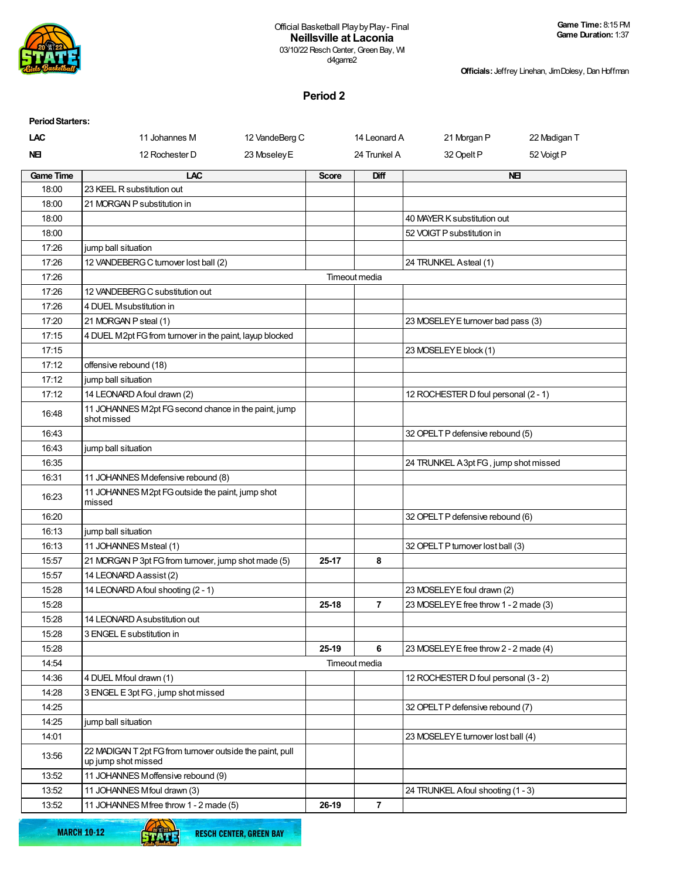

**Officials:** Jeffrey Linehan, Jim Dolesy, Dan Hoffman

# **Period 2**

| <b>Period Starters:</b> |                                                                                  |              |                |                                        |              |
|-------------------------|----------------------------------------------------------------------------------|--------------|----------------|----------------------------------------|--------------|
| LAC                     | 11 Johannes M<br>12 VandeBerg C                                                  |              | 14 Leonard A   | 21 Morgan P                            | 22 Madigan T |
| NEI                     | 23 Moseley E<br>12 Rochester D                                                   |              | 24 Trunkel A   | 32 Opelt P                             | 52 Voigt P   |
| <b>Game Time</b>        | LAC                                                                              | <b>Score</b> | Diff           |                                        | <b>NEI</b>   |
| 18:00                   | 23 KEEL R substitution out                                                       |              |                |                                        |              |
| 18:00                   | 21 MORGAN P substitution in                                                      |              |                |                                        |              |
| 18:00                   |                                                                                  |              |                | 40 MAYER K substitution out            |              |
| 18:00                   |                                                                                  |              |                | 52 VOIGT P substitution in             |              |
| 17:26                   | jump ball situation                                                              |              |                |                                        |              |
| 17:26                   | 12 VANDEBERG C turnover lost ball (2)                                            |              |                | 24 TRUNKEL Asteal (1)                  |              |
| 17:26                   |                                                                                  |              | Timeout media  |                                        |              |
| 17:26                   | 12 VANDEBERG C substitution out                                                  |              |                |                                        |              |
| 17:26                   | 4 DUEL Msubstitution in                                                          |              |                |                                        |              |
| 17:20                   | 21 MORGAN P steal (1)                                                            |              |                | 23 MOSELEY E turnover bad pass (3)     |              |
| 17:15                   | 4 DUEL M2pt FG from turnover in the paint, layup blocked                         |              |                |                                        |              |
| 17:15                   |                                                                                  |              |                | 23 MOSELEY E block (1)                 |              |
| 17:12                   | offensive rebound (18)                                                           |              |                |                                        |              |
| 17:12                   | jump ball situation                                                              |              |                |                                        |              |
| 17:12                   | 14 LEONARD A foul drawn (2)                                                      |              |                | 12 ROCHESTER D foul personal (2 - 1)   |              |
| 16:48                   | 11 JOHANNES M2pt FG second chance in the paint, jump<br>shot missed              |              |                |                                        |              |
| 16:43                   |                                                                                  |              |                | 32 OPELT P defensive rebound (5)       |              |
| 16:43                   | jump ball situation                                                              |              |                |                                        |              |
| 16:35                   |                                                                                  |              |                | 24 TRUNKEL A3pt FG, jump shot missed   |              |
| 16:31                   | 11 JOHANNES M defensive rebound (8)                                              |              |                |                                        |              |
| 16:23                   | 11 JOHANNES M2pt FG outside the paint, jump shot<br>missed                       |              |                |                                        |              |
| 16:20                   |                                                                                  |              |                | 32 OPELT P defensive rebound (6)       |              |
| 16:13                   | jump ball situation                                                              |              |                |                                        |              |
| 16:13                   | 11 JOHANNES Msteal (1)                                                           |              |                | 32 OPELT P turnover lost ball (3)      |              |
| 15:57                   | 21 MORGAN P 3pt FG from turnover, jump shot made (5)                             | 25-17        | 8              |                                        |              |
| 15:57                   | 14 LEONARD Aassist (2)                                                           |              |                |                                        |              |
| 15:28                   | 14 LEONARD A foul shooting (2 - 1)                                               |              |                | 23 MOSELEY E foul drawn (2)            |              |
| 15:28                   |                                                                                  | 25-18        | $\overline{7}$ | 23 MOSELEY E free throw 1 - 2 made (3) |              |
| 15:28                   | 14 LEONARD A substitution out                                                    |              |                |                                        |              |
| 15:28                   | 3 ENGEL E substitution in                                                        |              |                |                                        |              |
| 15:28                   |                                                                                  | 25-19        | 6              | 23 MOSELEY E free throw 2 - 2 made (4) |              |
| 14:54                   |                                                                                  |              | Timeout media  |                                        |              |
| 14:36                   | 4 DUEL Mfoul drawn (1)                                                           |              |                | 12 ROCHESTER D foul personal (3 - 2)   |              |
| 14:28                   | 3 ENGEL E 3pt FG, jump shot missed                                               |              |                |                                        |              |
| 14:25                   |                                                                                  |              |                | 32 OPELT P defensive rebound (7)       |              |
| 14:25                   | jump ball situation                                                              |              |                |                                        |              |
| 14:01                   |                                                                                  |              |                | 23 MOSELEY E turnover lost ball (4)    |              |
| 13:56                   | 22 MADIGAN T 2pt FG from turnover outside the paint, pull<br>up jump shot missed |              |                |                                        |              |
| 13:52                   | 11 JOHANNES Moffensive rebound (9)                                               |              |                |                                        |              |
| 13:52                   | 11 JOHANNES Mfoul drawn (3)                                                      |              |                | 24 TRUNKEL A foul shooting (1 - 3)     |              |
| 13:52                   | 11 JOHANNES Mfree throw 1 - 2 made (5)                                           | 26-19        | $\overline{7}$ |                                        |              |

**MARCH 10-12** 



Œ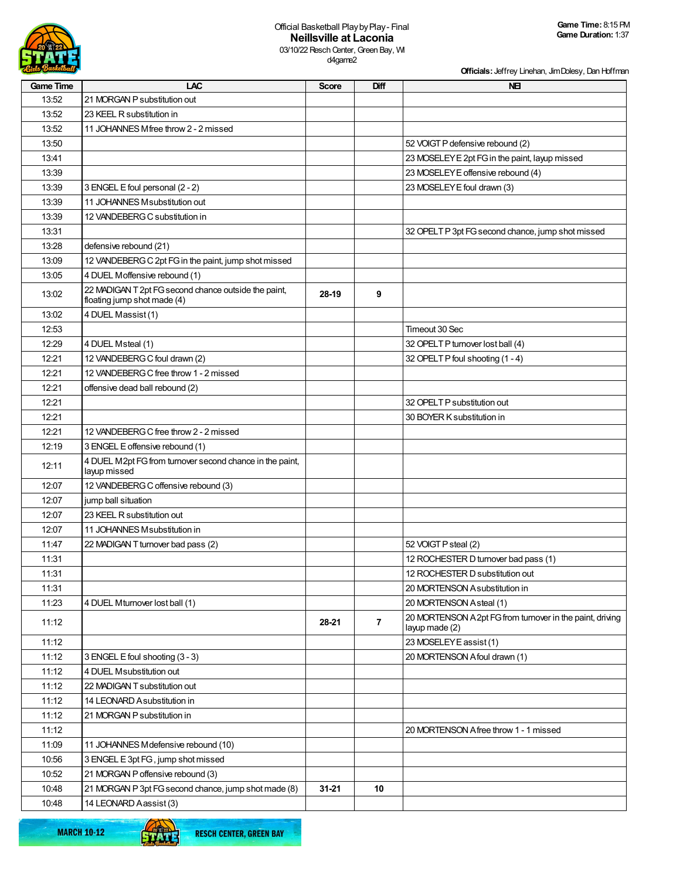

**Officials:** Jeffrey Linehan, Jim Dolesy, Dan Hoffman

| 13:52<br>21 MORGAN P substitution out<br>13:52<br>23 KEEL R substitution in<br>13:52<br>11 JOHANNES Mfree throw 2 - 2 missed<br>13:50<br>52 VOIGT P defensive rebound (2)<br>23 MOSELEY E 2pt FG in the paint, layup missed<br>13:41<br>23 MOSELEY E offensive rebound (4)<br>13:39<br>13:39<br>23 MOSELEY E foul drawn (3)<br>3 ENGEL E foul personal (2 - 2)<br>13:39<br>11 JOHANNES M substitution out<br>13:39<br>12 VANDEBERG C substitution in<br>32 OPELT P 3pt FG second chance, jump shot missed<br>13:31<br>13:28<br>defensive rebound (21)<br>13:09<br>12 VANDEBERG C 2pt FG in the paint, jump shot missed<br>13:05<br>4 DUEL Moffensive rebound (1)<br>22 MADIGAN T 2pt FG second chance outside the paint,<br>13:02<br>28-19<br>9<br>floating jump shot made (4)<br>4 DUEL Massist (1)<br>13:02<br>12:53<br>Timeout 30 Sec<br>12:29<br>4 DUEL Msteal (1)<br>32 OPELT P turnover lost ball (4)<br>12:21<br>12 VANDEBERG C foul drawn (2)<br>32 OPELT P foul shooting (1 - 4)<br>12:21<br>12 VANDEBERG C free throw 1 - 2 missed<br>12:21<br>offensive dead ball rebound (2)<br>32 OPELT P substitution out<br>12:21<br>12:21<br>30 BOYER K substitution in<br>12:21<br>12 VANDEBERG C free throw 2 - 2 missed<br>12:19<br>3 ENGEL E offensive rebound (1)<br>4 DUEL M2pt FG from turnover second chance in the paint,<br>12:11<br>layup missed<br>12:07<br>12 VANDEBERG C offensive rebound (3)<br>12:07<br>jump ball situation<br>12:07<br>23 KEEL R substitution out<br>12:07<br>11 JOHANNES M substitution in<br>52 VOIGT P steal (2)<br>11:47<br>22 MADIGAN T turnover bad pass (2)<br>12 ROCHESTER D turnover bad pass (1)<br>11:31<br>11:31<br>12 ROCHESTER D substitution out<br>11:31<br>20 MORTENSON Asubstitution in<br>11:23<br>20 MORTENSON Asteal (1)<br>4 DUEL Mturnover lost ball (1)<br>20 MORTENSON A 2pt FG from turnover in the paint, driving<br>$\overline{7}$<br>11:12<br>28-21<br>layup made (2)<br>23 MOSELEY E assist (1)<br>11:12<br>11:12<br>20 MORTENSON A foul drawn (1)<br>3 ENGEL E foul shooting (3 - 3)<br>11:12<br>4 DUEL Msubstitution out<br>11:12<br>22 MADIGAN T substitution out<br>11:12<br>14 LEONARD A substitution in<br>11:12<br>21 MORGAN P substitution in<br>11:12<br>20 MORTENSON Afree throw 1 - 1 missed<br>11:09<br>11 JOHANNES M defensive rebound (10)<br>10:56<br>3 ENGEL E 3pt FG, jump shot missed<br>10:52<br>21 MORGAN P offensive rebound (3)<br>21 MORGAN P 3pt FG second chance, jump shot made (8)<br>10:48<br>$31 - 21$<br>10 | <b>Game Time</b> | LAC                    | <b>Score</b> | Diff | <b>NEI</b> |
|-----------------------------------------------------------------------------------------------------------------------------------------------------------------------------------------------------------------------------------------------------------------------------------------------------------------------------------------------------------------------------------------------------------------------------------------------------------------------------------------------------------------------------------------------------------------------------------------------------------------------------------------------------------------------------------------------------------------------------------------------------------------------------------------------------------------------------------------------------------------------------------------------------------------------------------------------------------------------------------------------------------------------------------------------------------------------------------------------------------------------------------------------------------------------------------------------------------------------------------------------------------------------------------------------------------------------------------------------------------------------------------------------------------------------------------------------------------------------------------------------------------------------------------------------------------------------------------------------------------------------------------------------------------------------------------------------------------------------------------------------------------------------------------------------------------------------------------------------------------------------------------------------------------------------------------------------------------------------------------------------------------------------------------------------------------------------------------------------------------------------------------------------------------------------------------------------------------------------------------------------------------------------------------------------------------------------------------------------------------------------------------------------------------------------------------------------------------------------------------------------------------|------------------|------------------------|--------------|------|------------|
|                                                                                                                                                                                                                                                                                                                                                                                                                                                                                                                                                                                                                                                                                                                                                                                                                                                                                                                                                                                                                                                                                                                                                                                                                                                                                                                                                                                                                                                                                                                                                                                                                                                                                                                                                                                                                                                                                                                                                                                                                                                                                                                                                                                                                                                                                                                                                                                                                                                                                                           |                  |                        |              |      |            |
|                                                                                                                                                                                                                                                                                                                                                                                                                                                                                                                                                                                                                                                                                                                                                                                                                                                                                                                                                                                                                                                                                                                                                                                                                                                                                                                                                                                                                                                                                                                                                                                                                                                                                                                                                                                                                                                                                                                                                                                                                                                                                                                                                                                                                                                                                                                                                                                                                                                                                                           |                  |                        |              |      |            |
|                                                                                                                                                                                                                                                                                                                                                                                                                                                                                                                                                                                                                                                                                                                                                                                                                                                                                                                                                                                                                                                                                                                                                                                                                                                                                                                                                                                                                                                                                                                                                                                                                                                                                                                                                                                                                                                                                                                                                                                                                                                                                                                                                                                                                                                                                                                                                                                                                                                                                                           |                  |                        |              |      |            |
|                                                                                                                                                                                                                                                                                                                                                                                                                                                                                                                                                                                                                                                                                                                                                                                                                                                                                                                                                                                                                                                                                                                                                                                                                                                                                                                                                                                                                                                                                                                                                                                                                                                                                                                                                                                                                                                                                                                                                                                                                                                                                                                                                                                                                                                                                                                                                                                                                                                                                                           |                  |                        |              |      |            |
|                                                                                                                                                                                                                                                                                                                                                                                                                                                                                                                                                                                                                                                                                                                                                                                                                                                                                                                                                                                                                                                                                                                                                                                                                                                                                                                                                                                                                                                                                                                                                                                                                                                                                                                                                                                                                                                                                                                                                                                                                                                                                                                                                                                                                                                                                                                                                                                                                                                                                                           |                  |                        |              |      |            |
|                                                                                                                                                                                                                                                                                                                                                                                                                                                                                                                                                                                                                                                                                                                                                                                                                                                                                                                                                                                                                                                                                                                                                                                                                                                                                                                                                                                                                                                                                                                                                                                                                                                                                                                                                                                                                                                                                                                                                                                                                                                                                                                                                                                                                                                                                                                                                                                                                                                                                                           |                  |                        |              |      |            |
|                                                                                                                                                                                                                                                                                                                                                                                                                                                                                                                                                                                                                                                                                                                                                                                                                                                                                                                                                                                                                                                                                                                                                                                                                                                                                                                                                                                                                                                                                                                                                                                                                                                                                                                                                                                                                                                                                                                                                                                                                                                                                                                                                                                                                                                                                                                                                                                                                                                                                                           |                  |                        |              |      |            |
|                                                                                                                                                                                                                                                                                                                                                                                                                                                                                                                                                                                                                                                                                                                                                                                                                                                                                                                                                                                                                                                                                                                                                                                                                                                                                                                                                                                                                                                                                                                                                                                                                                                                                                                                                                                                                                                                                                                                                                                                                                                                                                                                                                                                                                                                                                                                                                                                                                                                                                           |                  |                        |              |      |            |
|                                                                                                                                                                                                                                                                                                                                                                                                                                                                                                                                                                                                                                                                                                                                                                                                                                                                                                                                                                                                                                                                                                                                                                                                                                                                                                                                                                                                                                                                                                                                                                                                                                                                                                                                                                                                                                                                                                                                                                                                                                                                                                                                                                                                                                                                                                                                                                                                                                                                                                           |                  |                        |              |      |            |
|                                                                                                                                                                                                                                                                                                                                                                                                                                                                                                                                                                                                                                                                                                                                                                                                                                                                                                                                                                                                                                                                                                                                                                                                                                                                                                                                                                                                                                                                                                                                                                                                                                                                                                                                                                                                                                                                                                                                                                                                                                                                                                                                                                                                                                                                                                                                                                                                                                                                                                           |                  |                        |              |      |            |
|                                                                                                                                                                                                                                                                                                                                                                                                                                                                                                                                                                                                                                                                                                                                                                                                                                                                                                                                                                                                                                                                                                                                                                                                                                                                                                                                                                                                                                                                                                                                                                                                                                                                                                                                                                                                                                                                                                                                                                                                                                                                                                                                                                                                                                                                                                                                                                                                                                                                                                           |                  |                        |              |      |            |
|                                                                                                                                                                                                                                                                                                                                                                                                                                                                                                                                                                                                                                                                                                                                                                                                                                                                                                                                                                                                                                                                                                                                                                                                                                                                                                                                                                                                                                                                                                                                                                                                                                                                                                                                                                                                                                                                                                                                                                                                                                                                                                                                                                                                                                                                                                                                                                                                                                                                                                           |                  |                        |              |      |            |
|                                                                                                                                                                                                                                                                                                                                                                                                                                                                                                                                                                                                                                                                                                                                                                                                                                                                                                                                                                                                                                                                                                                                                                                                                                                                                                                                                                                                                                                                                                                                                                                                                                                                                                                                                                                                                                                                                                                                                                                                                                                                                                                                                                                                                                                                                                                                                                                                                                                                                                           |                  |                        |              |      |            |
|                                                                                                                                                                                                                                                                                                                                                                                                                                                                                                                                                                                                                                                                                                                                                                                                                                                                                                                                                                                                                                                                                                                                                                                                                                                                                                                                                                                                                                                                                                                                                                                                                                                                                                                                                                                                                                                                                                                                                                                                                                                                                                                                                                                                                                                                                                                                                                                                                                                                                                           |                  |                        |              |      |            |
|                                                                                                                                                                                                                                                                                                                                                                                                                                                                                                                                                                                                                                                                                                                                                                                                                                                                                                                                                                                                                                                                                                                                                                                                                                                                                                                                                                                                                                                                                                                                                                                                                                                                                                                                                                                                                                                                                                                                                                                                                                                                                                                                                                                                                                                                                                                                                                                                                                                                                                           |                  |                        |              |      |            |
|                                                                                                                                                                                                                                                                                                                                                                                                                                                                                                                                                                                                                                                                                                                                                                                                                                                                                                                                                                                                                                                                                                                                                                                                                                                                                                                                                                                                                                                                                                                                                                                                                                                                                                                                                                                                                                                                                                                                                                                                                                                                                                                                                                                                                                                                                                                                                                                                                                                                                                           |                  |                        |              |      |            |
|                                                                                                                                                                                                                                                                                                                                                                                                                                                                                                                                                                                                                                                                                                                                                                                                                                                                                                                                                                                                                                                                                                                                                                                                                                                                                                                                                                                                                                                                                                                                                                                                                                                                                                                                                                                                                                                                                                                                                                                                                                                                                                                                                                                                                                                                                                                                                                                                                                                                                                           |                  |                        |              |      |            |
|                                                                                                                                                                                                                                                                                                                                                                                                                                                                                                                                                                                                                                                                                                                                                                                                                                                                                                                                                                                                                                                                                                                                                                                                                                                                                                                                                                                                                                                                                                                                                                                                                                                                                                                                                                                                                                                                                                                                                                                                                                                                                                                                                                                                                                                                                                                                                                                                                                                                                                           |                  |                        |              |      |            |
|                                                                                                                                                                                                                                                                                                                                                                                                                                                                                                                                                                                                                                                                                                                                                                                                                                                                                                                                                                                                                                                                                                                                                                                                                                                                                                                                                                                                                                                                                                                                                                                                                                                                                                                                                                                                                                                                                                                                                                                                                                                                                                                                                                                                                                                                                                                                                                                                                                                                                                           |                  |                        |              |      |            |
|                                                                                                                                                                                                                                                                                                                                                                                                                                                                                                                                                                                                                                                                                                                                                                                                                                                                                                                                                                                                                                                                                                                                                                                                                                                                                                                                                                                                                                                                                                                                                                                                                                                                                                                                                                                                                                                                                                                                                                                                                                                                                                                                                                                                                                                                                                                                                                                                                                                                                                           |                  |                        |              |      |            |
|                                                                                                                                                                                                                                                                                                                                                                                                                                                                                                                                                                                                                                                                                                                                                                                                                                                                                                                                                                                                                                                                                                                                                                                                                                                                                                                                                                                                                                                                                                                                                                                                                                                                                                                                                                                                                                                                                                                                                                                                                                                                                                                                                                                                                                                                                                                                                                                                                                                                                                           |                  |                        |              |      |            |
|                                                                                                                                                                                                                                                                                                                                                                                                                                                                                                                                                                                                                                                                                                                                                                                                                                                                                                                                                                                                                                                                                                                                                                                                                                                                                                                                                                                                                                                                                                                                                                                                                                                                                                                                                                                                                                                                                                                                                                                                                                                                                                                                                                                                                                                                                                                                                                                                                                                                                                           |                  |                        |              |      |            |
|                                                                                                                                                                                                                                                                                                                                                                                                                                                                                                                                                                                                                                                                                                                                                                                                                                                                                                                                                                                                                                                                                                                                                                                                                                                                                                                                                                                                                                                                                                                                                                                                                                                                                                                                                                                                                                                                                                                                                                                                                                                                                                                                                                                                                                                                                                                                                                                                                                                                                                           |                  |                        |              |      |            |
|                                                                                                                                                                                                                                                                                                                                                                                                                                                                                                                                                                                                                                                                                                                                                                                                                                                                                                                                                                                                                                                                                                                                                                                                                                                                                                                                                                                                                                                                                                                                                                                                                                                                                                                                                                                                                                                                                                                                                                                                                                                                                                                                                                                                                                                                                                                                                                                                                                                                                                           |                  |                        |              |      |            |
|                                                                                                                                                                                                                                                                                                                                                                                                                                                                                                                                                                                                                                                                                                                                                                                                                                                                                                                                                                                                                                                                                                                                                                                                                                                                                                                                                                                                                                                                                                                                                                                                                                                                                                                                                                                                                                                                                                                                                                                                                                                                                                                                                                                                                                                                                                                                                                                                                                                                                                           |                  |                        |              |      |            |
|                                                                                                                                                                                                                                                                                                                                                                                                                                                                                                                                                                                                                                                                                                                                                                                                                                                                                                                                                                                                                                                                                                                                                                                                                                                                                                                                                                                                                                                                                                                                                                                                                                                                                                                                                                                                                                                                                                                                                                                                                                                                                                                                                                                                                                                                                                                                                                                                                                                                                                           |                  |                        |              |      |            |
|                                                                                                                                                                                                                                                                                                                                                                                                                                                                                                                                                                                                                                                                                                                                                                                                                                                                                                                                                                                                                                                                                                                                                                                                                                                                                                                                                                                                                                                                                                                                                                                                                                                                                                                                                                                                                                                                                                                                                                                                                                                                                                                                                                                                                                                                                                                                                                                                                                                                                                           |                  |                        |              |      |            |
|                                                                                                                                                                                                                                                                                                                                                                                                                                                                                                                                                                                                                                                                                                                                                                                                                                                                                                                                                                                                                                                                                                                                                                                                                                                                                                                                                                                                                                                                                                                                                                                                                                                                                                                                                                                                                                                                                                                                                                                                                                                                                                                                                                                                                                                                                                                                                                                                                                                                                                           |                  |                        |              |      |            |
|                                                                                                                                                                                                                                                                                                                                                                                                                                                                                                                                                                                                                                                                                                                                                                                                                                                                                                                                                                                                                                                                                                                                                                                                                                                                                                                                                                                                                                                                                                                                                                                                                                                                                                                                                                                                                                                                                                                                                                                                                                                                                                                                                                                                                                                                                                                                                                                                                                                                                                           |                  |                        |              |      |            |
|                                                                                                                                                                                                                                                                                                                                                                                                                                                                                                                                                                                                                                                                                                                                                                                                                                                                                                                                                                                                                                                                                                                                                                                                                                                                                                                                                                                                                                                                                                                                                                                                                                                                                                                                                                                                                                                                                                                                                                                                                                                                                                                                                                                                                                                                                                                                                                                                                                                                                                           |                  |                        |              |      |            |
|                                                                                                                                                                                                                                                                                                                                                                                                                                                                                                                                                                                                                                                                                                                                                                                                                                                                                                                                                                                                                                                                                                                                                                                                                                                                                                                                                                                                                                                                                                                                                                                                                                                                                                                                                                                                                                                                                                                                                                                                                                                                                                                                                                                                                                                                                                                                                                                                                                                                                                           |                  |                        |              |      |            |
|                                                                                                                                                                                                                                                                                                                                                                                                                                                                                                                                                                                                                                                                                                                                                                                                                                                                                                                                                                                                                                                                                                                                                                                                                                                                                                                                                                                                                                                                                                                                                                                                                                                                                                                                                                                                                                                                                                                                                                                                                                                                                                                                                                                                                                                                                                                                                                                                                                                                                                           |                  |                        |              |      |            |
|                                                                                                                                                                                                                                                                                                                                                                                                                                                                                                                                                                                                                                                                                                                                                                                                                                                                                                                                                                                                                                                                                                                                                                                                                                                                                                                                                                                                                                                                                                                                                                                                                                                                                                                                                                                                                                                                                                                                                                                                                                                                                                                                                                                                                                                                                                                                                                                                                                                                                                           |                  |                        |              |      |            |
|                                                                                                                                                                                                                                                                                                                                                                                                                                                                                                                                                                                                                                                                                                                                                                                                                                                                                                                                                                                                                                                                                                                                                                                                                                                                                                                                                                                                                                                                                                                                                                                                                                                                                                                                                                                                                                                                                                                                                                                                                                                                                                                                                                                                                                                                                                                                                                                                                                                                                                           |                  |                        |              |      |            |
|                                                                                                                                                                                                                                                                                                                                                                                                                                                                                                                                                                                                                                                                                                                                                                                                                                                                                                                                                                                                                                                                                                                                                                                                                                                                                                                                                                                                                                                                                                                                                                                                                                                                                                                                                                                                                                                                                                                                                                                                                                                                                                                                                                                                                                                                                                                                                                                                                                                                                                           |                  |                        |              |      |            |
|                                                                                                                                                                                                                                                                                                                                                                                                                                                                                                                                                                                                                                                                                                                                                                                                                                                                                                                                                                                                                                                                                                                                                                                                                                                                                                                                                                                                                                                                                                                                                                                                                                                                                                                                                                                                                                                                                                                                                                                                                                                                                                                                                                                                                                                                                                                                                                                                                                                                                                           |                  |                        |              |      |            |
|                                                                                                                                                                                                                                                                                                                                                                                                                                                                                                                                                                                                                                                                                                                                                                                                                                                                                                                                                                                                                                                                                                                                                                                                                                                                                                                                                                                                                                                                                                                                                                                                                                                                                                                                                                                                                                                                                                                                                                                                                                                                                                                                                                                                                                                                                                                                                                                                                                                                                                           |                  |                        |              |      |            |
|                                                                                                                                                                                                                                                                                                                                                                                                                                                                                                                                                                                                                                                                                                                                                                                                                                                                                                                                                                                                                                                                                                                                                                                                                                                                                                                                                                                                                                                                                                                                                                                                                                                                                                                                                                                                                                                                                                                                                                                                                                                                                                                                                                                                                                                                                                                                                                                                                                                                                                           |                  |                        |              |      |            |
|                                                                                                                                                                                                                                                                                                                                                                                                                                                                                                                                                                                                                                                                                                                                                                                                                                                                                                                                                                                                                                                                                                                                                                                                                                                                                                                                                                                                                                                                                                                                                                                                                                                                                                                                                                                                                                                                                                                                                                                                                                                                                                                                                                                                                                                                                                                                                                                                                                                                                                           |                  |                        |              |      |            |
|                                                                                                                                                                                                                                                                                                                                                                                                                                                                                                                                                                                                                                                                                                                                                                                                                                                                                                                                                                                                                                                                                                                                                                                                                                                                                                                                                                                                                                                                                                                                                                                                                                                                                                                                                                                                                                                                                                                                                                                                                                                                                                                                                                                                                                                                                                                                                                                                                                                                                                           |                  |                        |              |      |            |
|                                                                                                                                                                                                                                                                                                                                                                                                                                                                                                                                                                                                                                                                                                                                                                                                                                                                                                                                                                                                                                                                                                                                                                                                                                                                                                                                                                                                                                                                                                                                                                                                                                                                                                                                                                                                                                                                                                                                                                                                                                                                                                                                                                                                                                                                                                                                                                                                                                                                                                           |                  |                        |              |      |            |
|                                                                                                                                                                                                                                                                                                                                                                                                                                                                                                                                                                                                                                                                                                                                                                                                                                                                                                                                                                                                                                                                                                                                                                                                                                                                                                                                                                                                                                                                                                                                                                                                                                                                                                                                                                                                                                                                                                                                                                                                                                                                                                                                                                                                                                                                                                                                                                                                                                                                                                           |                  |                        |              |      |            |
|                                                                                                                                                                                                                                                                                                                                                                                                                                                                                                                                                                                                                                                                                                                                                                                                                                                                                                                                                                                                                                                                                                                                                                                                                                                                                                                                                                                                                                                                                                                                                                                                                                                                                                                                                                                                                                                                                                                                                                                                                                                                                                                                                                                                                                                                                                                                                                                                                                                                                                           |                  |                        |              |      |            |
|                                                                                                                                                                                                                                                                                                                                                                                                                                                                                                                                                                                                                                                                                                                                                                                                                                                                                                                                                                                                                                                                                                                                                                                                                                                                                                                                                                                                                                                                                                                                                                                                                                                                                                                                                                                                                                                                                                                                                                                                                                                                                                                                                                                                                                                                                                                                                                                                                                                                                                           |                  |                        |              |      |            |
|                                                                                                                                                                                                                                                                                                                                                                                                                                                                                                                                                                                                                                                                                                                                                                                                                                                                                                                                                                                                                                                                                                                                                                                                                                                                                                                                                                                                                                                                                                                                                                                                                                                                                                                                                                                                                                                                                                                                                                                                                                                                                                                                                                                                                                                                                                                                                                                                                                                                                                           |                  |                        |              |      |            |
|                                                                                                                                                                                                                                                                                                                                                                                                                                                                                                                                                                                                                                                                                                                                                                                                                                                                                                                                                                                                                                                                                                                                                                                                                                                                                                                                                                                                                                                                                                                                                                                                                                                                                                                                                                                                                                                                                                                                                                                                                                                                                                                                                                                                                                                                                                                                                                                                                                                                                                           |                  |                        |              |      |            |
|                                                                                                                                                                                                                                                                                                                                                                                                                                                                                                                                                                                                                                                                                                                                                                                                                                                                                                                                                                                                                                                                                                                                                                                                                                                                                                                                                                                                                                                                                                                                                                                                                                                                                                                                                                                                                                                                                                                                                                                                                                                                                                                                                                                                                                                                                                                                                                                                                                                                                                           |                  |                        |              |      |            |
|                                                                                                                                                                                                                                                                                                                                                                                                                                                                                                                                                                                                                                                                                                                                                                                                                                                                                                                                                                                                                                                                                                                                                                                                                                                                                                                                                                                                                                                                                                                                                                                                                                                                                                                                                                                                                                                                                                                                                                                                                                                                                                                                                                                                                                                                                                                                                                                                                                                                                                           | 10:48            | 14 LEONARD Aassist (3) |              |      |            |

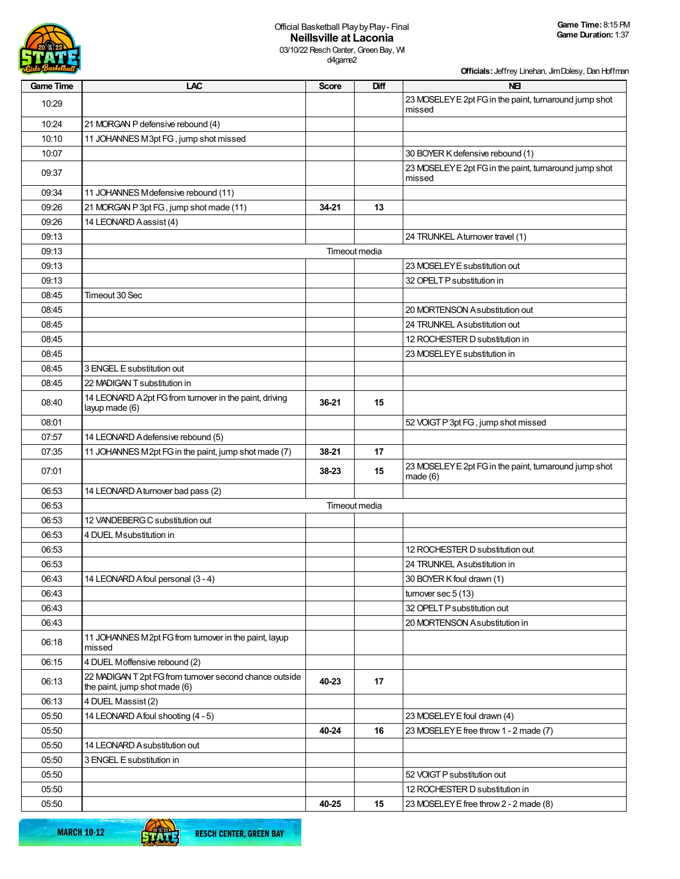

d4game2

**Officials:** Jeffrey Linehan, Jim Dolesy, Dan Hoffman

| <b>Game Time</b> | LAC                                                                                      | <b>Score</b> | <b>Diff</b>   | <b>NEI</b>                                                        |
|------------------|------------------------------------------------------------------------------------------|--------------|---------------|-------------------------------------------------------------------|
| 10:29            |                                                                                          |              |               | 23 MOSELEY E 2pt FG in the paint, turnaround jump shot<br>missed  |
| 10:24            | 21 MORGAN P defensive rebound (4)                                                        |              |               |                                                                   |
| 10:10            | 11 JOHANNES M3pt FG, jump shot missed                                                    |              |               |                                                                   |
| 10:07            |                                                                                          |              |               | 30 BOYER K defensive rebound (1)                                  |
| 09:37            |                                                                                          |              |               | 23 MOSELEY E 2pt FG in the paint, turnaround jump shot<br>missed  |
| 09:34            | 11 JOHANNES M defensive rebound (11)                                                     |              |               |                                                                   |
| 09:26            | 21 MORGAN P 3pt FG, jump shot made (11)                                                  | 34-21        | 13            |                                                                   |
| 09:26            | 14 LEONARD Aassist (4)                                                                   |              |               |                                                                   |
| 09:13            |                                                                                          |              |               | 24 TRUNKEL Aturnover travel (1)                                   |
| 09:13            |                                                                                          |              | Timeout media |                                                                   |
| 09:13            |                                                                                          |              |               | 23 MOSELEY E substitution out                                     |
| 09:13            |                                                                                          |              |               | 32 OPELT P substitution in                                        |
| 08:45            | Timeout 30 Sec                                                                           |              |               |                                                                   |
| 08:45            |                                                                                          |              |               | 20 MORTENSON Asubstitution out                                    |
| 08:45            |                                                                                          |              |               | 24 TRUNKEL Asubstitution out                                      |
| 08:45            |                                                                                          |              |               | 12 ROCHESTER D substitution in                                    |
| 08:45            |                                                                                          |              |               | 23 MOSELEY E substitution in                                      |
| 08:45            | 3 ENGEL E substitution out                                                               |              |               |                                                                   |
| 08:45            | 22 MADIGAN T substitution in                                                             |              |               |                                                                   |
| 08:40            | 14 LEONARD A 2pt FG from turnover in the paint, driving<br>layup made (6)                | 36-21        | 15            |                                                                   |
| 08:01            |                                                                                          |              |               | 52 VOIGT P 3pt FG, jump shot missed                               |
| 07:57            | 14 LEONARD A defensive rebound (5)                                                       |              |               |                                                                   |
| 07:35            | 11 JOHANNES M2pt FG in the paint, jump shot made (7)                                     | 38-21        | 17            |                                                                   |
| 07:01            |                                                                                          | 38-23        | 15            | 23 MOSELEY E 2pt FG in the paint, turnaround jump shot<br>made(6) |
| 06:53            | 14 LEONARD Aturnover bad pass (2)                                                        |              |               |                                                                   |
| 06:53            |                                                                                          |              | Timeout media |                                                                   |
| 06:53            | 12 VANDEBERG C substitution out                                                          |              |               |                                                                   |
| 06:53            | 4 DUEL Msubstitution in                                                                  |              |               |                                                                   |
| 06:53            |                                                                                          |              |               | 12 ROCHESTER D substitution out                                   |
| 06:53            |                                                                                          |              |               | 24 TRUNKEL Asubstitution in                                       |
| 06:43            | 14 LEONARD A foul personal (3 - 4)                                                       |              |               | 30 BOYER K foul drawn (1)                                         |
| 06:43            |                                                                                          |              |               | turnover sec $5(13)$                                              |
| 06:43            |                                                                                          |              |               | 32 OPELT P substitution out                                       |
| 06:43            |                                                                                          |              |               | 20 MORTENSON Asubstitution in                                     |
| 06:18            | 11 JOHANNES M2pt FG from turnover in the paint, layup<br>missed                          |              |               |                                                                   |
| 06:15            | 4 DUEL Moffensive rebound (2)                                                            |              |               |                                                                   |
| 06:13            | 22 MADIGAN T 2pt FG from turnover second chance outside<br>the paint, jump shot made (6) | 40-23        | 17            |                                                                   |
| 06:13            | 4 DUEL Massist (2)                                                                       |              |               |                                                                   |
| 05:50            | 14 LEONARD A foul shooting (4 - 5)                                                       |              |               | 23 MOSELEY E foul drawn (4)                                       |
| 05:50            |                                                                                          | 40-24        | 16            | 23 MOSELEY E free throw 1 - 2 made (7)                            |
| 05:50            | 14 LEONARD A substitution out                                                            |              |               |                                                                   |
| 05:50            | 3 ENGEL E substitution in                                                                |              |               |                                                                   |
| 05:50            |                                                                                          |              |               | 52 VOIGT P substitution out                                       |
| 05:50            |                                                                                          |              |               | 12 ROCHESTER D substitution in                                    |
| 05:50            |                                                                                          | 40-25        | 15            | 23 MOSELEY E free throw 2 - 2 made (8)                            |

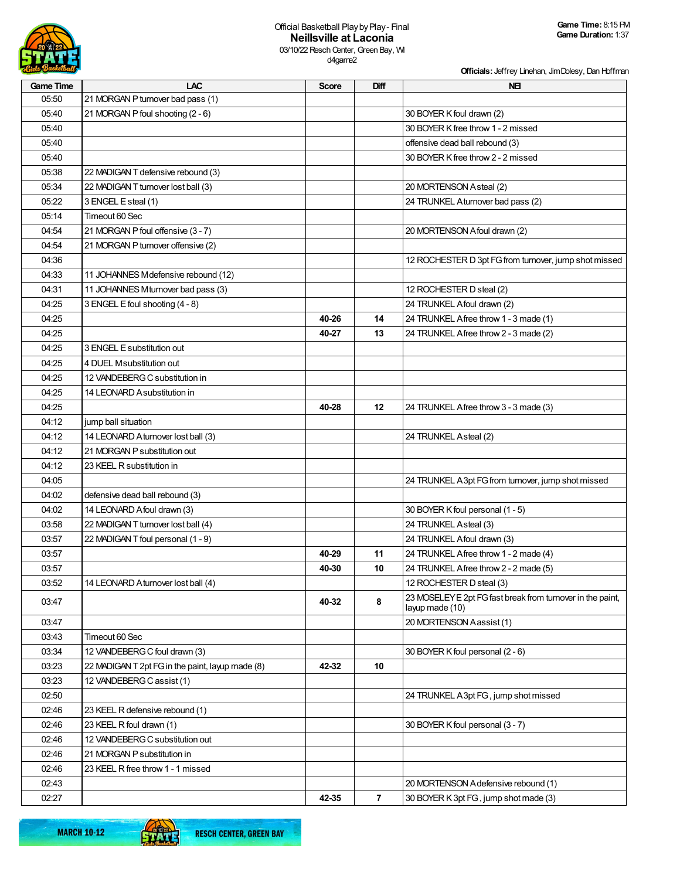

**Officials:** Jeffrey Linehan, Jim Dolesy, Dan Hoffman

| <b>Game Time</b> | <b>LAC</b>                                       | <b>Score</b> | Diff | <b>NEI</b>                                                                    |
|------------------|--------------------------------------------------|--------------|------|-------------------------------------------------------------------------------|
| 05:50            | 21 MORGAN P turnover bad pass (1)                |              |      |                                                                               |
| 05:40            | 21 MORGAN P foul shooting (2 - 6)                |              |      | 30 BOYER K foul drawn (2)                                                     |
| 05:40            |                                                  |              |      | 30 BOYER K free throw 1 - 2 missed                                            |
| 05:40            |                                                  |              |      | offensive dead ball rebound (3)                                               |
| 05:40            |                                                  |              |      | 30 BOYER K free throw 2 - 2 missed                                            |
| 05:38            | 22 MADIGAN T defensive rebound (3)               |              |      |                                                                               |
| 05:34            | 22 MADIGAN T turnover lost ball (3)              |              |      | 20 MORTENSON Asteal (2)                                                       |
| 05:22            | 3 ENGEL E steal (1)                              |              |      | 24 TRUNKEL Aturnover bad pass (2)                                             |
| 05:14            | Timeout 60 Sec                                   |              |      |                                                                               |
| 04:54            | 21 MORGAN P foul offensive (3 - 7)               |              |      | 20 MORTENSON A foul drawn (2)                                                 |
| 04:54            | 21 MORGAN P turnover offensive (2)               |              |      |                                                                               |
| 04:36            |                                                  |              |      | 12 ROCHESTER D 3pt FG from turnover, jump shot missed                         |
| 04:33            | 11 JOHANNES M defensive rebound (12)             |              |      |                                                                               |
| 04:31            | 11 JOHANNES M turnover bad pass (3)              |              |      | 12 ROCHESTER D steal (2)                                                      |
| 04:25            | 3 ENGEL E foul shooting (4 - 8)                  |              |      | 24 TRUNKEL A foul drawn (2)                                                   |
| 04:25            |                                                  | 40-26        | 14   | 24 TRUNKEL Afree throw 1 - 3 made (1)                                         |
| 04:25            |                                                  | 40-27        | 13   | 24 TRUNKEL Afree throw 2 - 3 made (2)                                         |
| 04:25            | 3 ENGEL E substitution out                       |              |      |                                                                               |
| 04:25            | 4 DUEL Msubstitution out                         |              |      |                                                                               |
| 04:25            | 12 VANDEBERG C substitution in                   |              |      |                                                                               |
| 04:25            | 14 LEONARD A substitution in                     |              |      |                                                                               |
| 04:25            |                                                  | 40-28        | 12   | 24 TRUNKEL Afree throw 3 - 3 made (3)                                         |
| 04:12            | jump ball situation                              |              |      |                                                                               |
| 04:12            | 14 LEONARD Aturnover lost ball (3)               |              |      | 24 TRUNKEL Asteal (2)                                                         |
| 04:12            | 21 MORGAN P substitution out                     |              |      |                                                                               |
| 04:12            |                                                  |              |      |                                                                               |
|                  | 23 KEEL R substitution in                        |              |      |                                                                               |
| 04:05            |                                                  |              |      | 24 TRUNKEL A3pt FG from turnover, jump shot missed                            |
| 04:02            | defensive dead ball rebound (3)                  |              |      |                                                                               |
| 04:02            | 14 LEONARD A foul drawn (3)                      |              |      | 30 BOYER K foul personal (1 - 5)                                              |
| 03:58            | 22 MADIGAN T turnover lost ball (4)              |              |      | 24 TRUNKEL Asteal (3)                                                         |
| 03:57            | 22 MADIGAN T foul personal (1 - 9)               |              |      | 24 TRUNKEL A foul drawn (3)                                                   |
| 03:57            |                                                  | 40-29        | 11   | 24 TRUNKEL Afree throw 1 - 2 made (4)                                         |
| 03:57            |                                                  | 40-30        | 10   | 24 TRUNKEL Afree throw 2 - 2 made (5)                                         |
| 03:52            | 14 LEONARD A turnover lost ball (4)              |              |      | 12 ROCHESTER D steal (3)                                                      |
| 03:47            |                                                  | 40-32        | 8    | 23 MOSELEY E 2pt FG fast break from turnover in the paint,<br>layup made (10) |
| 03:47            |                                                  |              |      | 20 MORTENSON Aassist (1)                                                      |
| 03:43            | Timeout 60 Sec                                   |              |      |                                                                               |
| 03:34            | 12 VANDEBERG C foul drawn (3)                    |              |      | 30 BOYER K foul personal (2 - 6)                                              |
| 03:23            | 22 MADIGAN T 2pt FG in the paint, layup made (8) | 42-32        | 10   |                                                                               |
| 03:23            | 12 VANDEBERG C assist (1)                        |              |      |                                                                               |
| 02:50            |                                                  |              |      | 24 TRUNKEL A 3pt FG, jump shot missed                                         |
| 02:46            | 23 KEEL R defensive rebound (1)                  |              |      |                                                                               |
| 02:46            | 23 KEEL R foul drawn (1)                         |              |      | 30 BOYER K foul personal (3 - 7)                                              |
| 02:46            | 12 VANDEBERG C substitution out                  |              |      |                                                                               |
| 02:46            | 21 MORGAN P substitution in                      |              |      |                                                                               |
| 02:46            | 23 KEEL R free throw 1 - 1 missed                |              |      |                                                                               |
| 02:43            |                                                  |              |      | 20 MORTENSON A defensive rebound (1)                                          |
| 02:27            |                                                  | 42-35        | 7    | 30 BOYER K 3pt FG, jump shot made (3)                                         |

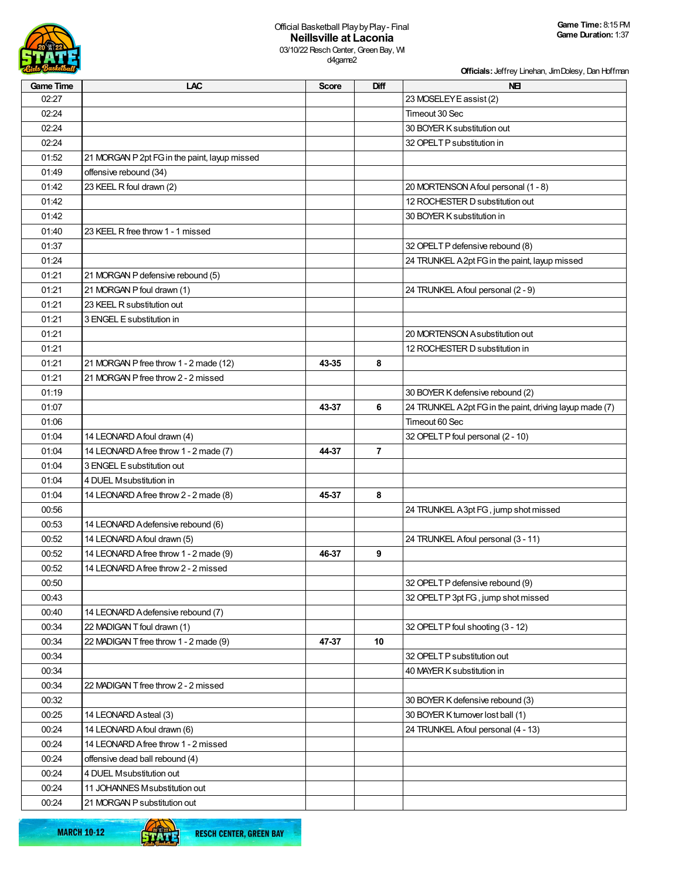

d4game2

**Officials:** Jeffrey Linehan, Jim Dolesy, Dan Hoffman

| <b>Game Time</b> | LAC                                           | <b>Score</b> | <b>Diff</b>    | <b>NEI</b>                                              |
|------------------|-----------------------------------------------|--------------|----------------|---------------------------------------------------------|
| 02:27            |                                               |              |                | 23 MOSELEY E assist (2)                                 |
| 02:24            |                                               |              |                | Timeout 30 Sec                                          |
| 02:24            |                                               |              |                | 30 BOYER K substitution out                             |
| 02:24            |                                               |              |                | 32 OPELT P substitution in                              |
| 01:52            | 21 MORGAN P 2pt FG in the paint, layup missed |              |                |                                                         |
| 01:49            | offensive rebound (34)                        |              |                |                                                         |
| 01:42            | 23 KEEL R foul drawn (2)                      |              |                | 20 MORTENSON Afoul personal (1 - 8)                     |
| 01:42            |                                               |              |                | 12 ROCHESTER D substitution out                         |
| 01:42            |                                               |              |                | 30 BOYER K substitution in                              |
| 01:40            | 23 KEEL R free throw 1 - 1 missed             |              |                |                                                         |
| 01:37            |                                               |              |                | 32 OPELT P defensive rebound (8)                        |
| 01:24            |                                               |              |                | 24 TRUNKEL A 2pt FG in the paint, layup missed          |
| 01:21            | 21 MORGAN P defensive rebound (5)             |              |                |                                                         |
| 01:21            | 21 MORGAN P foul drawn (1)                    |              |                | 24 TRUNKEL Afoul personal (2 - 9)                       |
| 01:21            | 23 KEEL R substitution out                    |              |                |                                                         |
| 01:21            | 3 ENGEL E substitution in                     |              |                |                                                         |
| 01:21            |                                               |              |                | 20 MORTENSON Asubstitution out                          |
| 01:21            |                                               |              |                | 12 ROCHESTER D substitution in                          |
| 01:21            | 21 MORGAN P free throw 1 - 2 made (12)        | 43-35        | 8              |                                                         |
| 01:21            | 21 MORGAN P free throw 2 - 2 missed           |              |                |                                                         |
| 01:19            |                                               |              |                | 30 BOYER K defensive rebound (2)                        |
| 01:07            |                                               | 43-37        | 6              | 24 TRUNKEL A2pt FG in the paint, driving layup made (7) |
| 01:06            |                                               |              |                | Timeout 60 Sec                                          |
| 01:04            | 14 LEONARD A foul drawn (4)                   |              |                | 32 OPELT P foul personal (2 - 10)                       |
| 01:04            | 14 LEONARD A free throw 1 - 2 made (7)        | 44-37        | $\overline{7}$ |                                                         |
| 01:04            | 3 ENGEL E substitution out                    |              |                |                                                         |
| 01:04            | 4 DUEL Msubstitution in                       |              |                |                                                         |
| 01:04            | 14 LEONARD A free throw 2 - 2 made (8)        | 45-37        | 8              |                                                         |
| 00:56            |                                               |              |                | 24 TRUNKEL A3pt FG, jump shot missed                    |
| 00:53            | 14 LEONARD A defensive rebound (6)            |              |                |                                                         |
| 00:52            | 14 LEONARD A foul drawn (5)                   |              |                | 24 TRUNKEL Afoul personal (3 - 11)                      |
| 00:52            | 14 LEONARD Afree throw 1 - 2 made (9)         | 46-37        | 9              |                                                         |
| 00:52            | 14 LEONARD A free throw 2 - 2 missed          |              |                |                                                         |
| 00:50            |                                               |              |                | 32 OPELT P defensive rebound (9)                        |
| 00:43            |                                               |              |                | 32 OPELT P 3pt FG, jump shot missed                     |
| 00:40            | 14 LEONARD A defensive rebound (7)            |              |                |                                                         |
| 00:34            | 22 MADIGAN T foul drawn (1)                   |              |                | 32 OPELT P foul shooting (3 - 12)                       |
| 00:34            | 22 MADIGAN T free throw 1 - 2 made (9)        | 47-37        | 10             |                                                         |
| 00:34            |                                               |              |                | 32 OPELT P substitution out                             |
| 00:34            |                                               |              |                | 40 MAYER K substitution in                              |
| 00:34            | 22 MADIGAN T free throw 2 - 2 missed          |              |                |                                                         |
| 00:32            |                                               |              |                | 30 BOYER K defensive rebound (3)                        |
| 00:25            | 14 LEONARD Asteal (3)                         |              |                | 30 BOYER K turnover lost ball (1)                       |
| 00:24            | 14 LEONARD A foul drawn (6)                   |              |                | 24 TRUNKEL Afoul personal (4 - 13)                      |
| 00:24            | 14 LEONARD Afree throw 1 - 2 missed           |              |                |                                                         |
| 00:24            | offensive dead ball rebound (4)               |              |                |                                                         |
| 00:24            | 4 DUEL Msubstitution out                      |              |                |                                                         |
| 00:24            | 11 JOHANNES M substitution out                |              |                |                                                         |
| 00:24            | 21 MORGAN P substitution out                  |              |                |                                                         |
|                  |                                               |              |                |                                                         |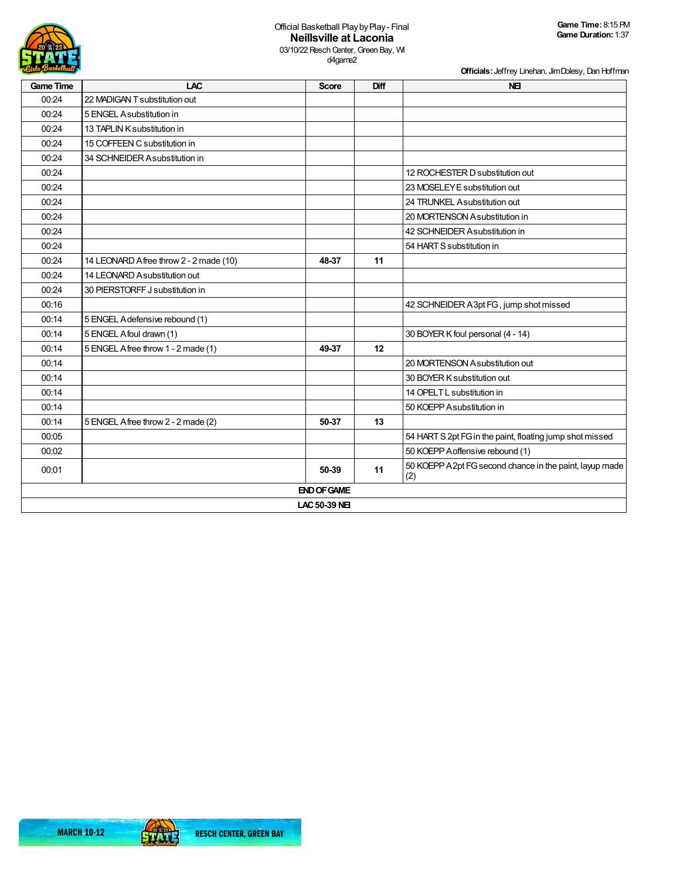

**Officials:** Jeffrey Linehan, Jim Dolesy, Dan Hoffman

| <b>Game Time</b> | <b>LAC</b>                              | <b>Score</b>       | Diff | <b>NEI</b>                                                      |  |  |
|------------------|-----------------------------------------|--------------------|------|-----------------------------------------------------------------|--|--|
| 00:24            | 22 MADIGAN T substitution out           |                    |      |                                                                 |  |  |
| 00:24            | 5 ENGEL A substitution in               |                    |      |                                                                 |  |  |
| 00:24            | 13 TAPLIN K substitution in             |                    |      |                                                                 |  |  |
| 00:24            | 15 COFFEEN C substitution in            |                    |      |                                                                 |  |  |
| 00:24            | 34 SCHNEIDER Asubstitution in           |                    |      |                                                                 |  |  |
| 00:24            |                                         |                    |      | 12 ROCHESTER D substitution out                                 |  |  |
| 00:24            |                                         |                    |      | 23 MOSELEY E substitution out                                   |  |  |
| 00:24            |                                         |                    |      | 24 TRUNKEL Asubstitution out                                    |  |  |
| 00:24            |                                         |                    |      | 20 MORTENSON Asubstitution in                                   |  |  |
| 00:24            |                                         |                    |      | 42 SCHNEIDER Asubstitution in                                   |  |  |
| 00:24            |                                         |                    |      | 54 HART S substitution in                                       |  |  |
| 00:24            | 14 LEONARD A free throw 2 - 2 made (10) | 48-37              | 11   |                                                                 |  |  |
| 00:24            | 14 LEONARD A substitution out           |                    |      |                                                                 |  |  |
| 00:24            | 30 PIERSTORFF J substitution in         |                    |      |                                                                 |  |  |
| 00:16            |                                         |                    |      | 42 SCHNEIDER A3pt FG, jump shot missed                          |  |  |
| 00:14            | 5 ENGEL A defensive rebound (1)         |                    |      |                                                                 |  |  |
| 00:14            | 5 ENGEL Afoul drawn (1)                 |                    |      | 30 BOYER K foul personal (4 - 14)                               |  |  |
| 00:14            | 5 ENGEL Afree throw 1 - 2 made (1)      | 49-37              | 12   |                                                                 |  |  |
| 00:14            |                                         |                    |      | 20 MORTENSON A substitution out                                 |  |  |
| 00:14            |                                         |                    |      | 30 BOYER K substitution out                                     |  |  |
| 00:14            |                                         |                    |      | 14 OPELT L substitution in                                      |  |  |
| 00:14            |                                         |                    |      | 50 KOEPP A substitution in                                      |  |  |
| 00:14            | 5 ENGEL A free throw 2 - 2 made (2)     | 50-37              | 13   |                                                                 |  |  |
| 00:05            |                                         |                    |      | 54 HART S 2pt FG in the paint, floating jump shot missed        |  |  |
| 00:02            |                                         |                    |      | 50 KOEPP A offensive rebound (1)                                |  |  |
| 00:01            |                                         | 50-39              | 11   | 50 KOEPP A 2pt FG second chance in the paint, layup made<br>(2) |  |  |
|                  |                                         | <b>END OF GAME</b> |      |                                                                 |  |  |
|                  | LAC 50-39 NEI                           |                    |      |                                                                 |  |  |